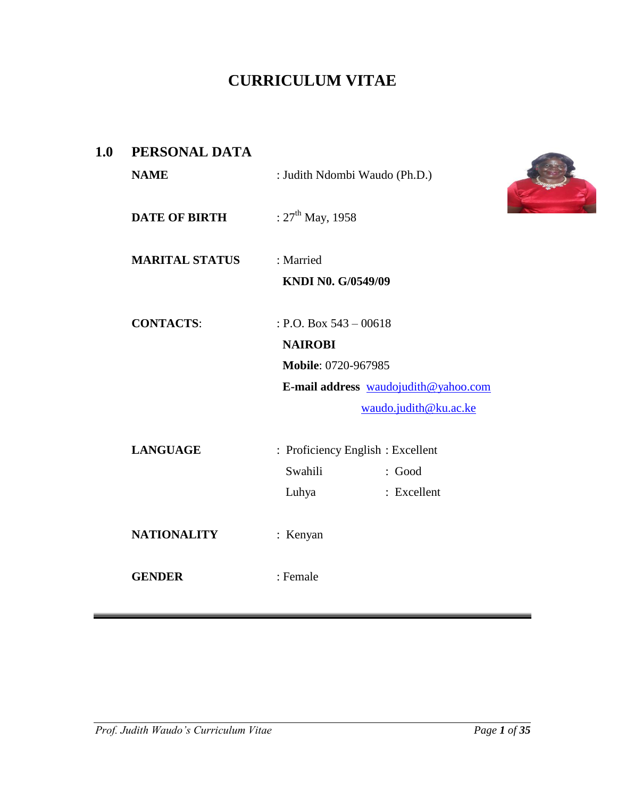# **CURRICULUM VITAE**

| 1.0 | PERSONAL DATA         |                                   |                                      |
|-----|-----------------------|-----------------------------------|--------------------------------------|
|     | <b>NAME</b>           | : Judith Ndombi Waudo (Ph.D.)     |                                      |
|     | <b>DATE OF BIRTH</b>  | : $27^{\text{th}}$ May, 1958      |                                      |
|     | <b>MARITAL STATUS</b> | : Married                         |                                      |
|     |                       | KNDI N0. G/0549/09                |                                      |
|     | <b>CONTACTS:</b>      | : P.O. Box $543 - 00618$          |                                      |
|     |                       | <b>NAIROBI</b>                    |                                      |
|     |                       | Mobile: 0720-967985               |                                      |
|     |                       |                                   | E-mail address waudojudith@yahoo.com |
|     |                       |                                   | waudo.judith@ku.ac.ke                |
|     | <b>LANGUAGE</b>       | : Proficiency English : Excellent |                                      |
|     |                       | Swahili                           | : Good                               |
|     |                       | Luhya                             | : Excellent                          |
|     | <b>NATIONALITY</b>    | : Kenyan                          |                                      |
|     | <b>GENDER</b>         | : Female                          |                                      |
|     |                       |                                   |                                      |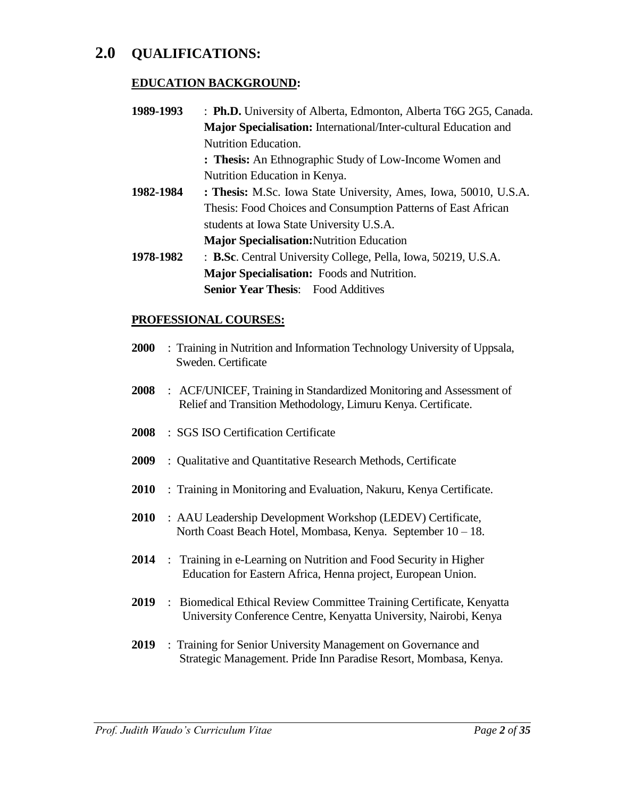# **2.0 QUALIFICATIONS:**

# **EDUCATION BACKGROUND:**

- **1989-1993** : **Ph.D.** University of Alberta, Edmonton, Alberta T6G 2G5, Canada. **Major Specialisation:** International/Inter-cultural Education and Nutrition Education. **: Thesis:** An Ethnographic Study of Low-Income Women and Nutrition Education in Kenya.
- **1982-1984 : Thesis:** M.Sc. Iowa State University, Ames, Iowa, 50010, U.S.A. Thesis: Food Choices and Consumption Patterns of East African students at Iowa State University U.S.A. **Major Specialisation:**Nutrition Education
- **1978-1982** : **B.Sc**. Central University College, Pella, Iowa, 50219, U.S.A. **Major Specialisation:** Foods and Nutrition. **Senior Year Thesis:** Food Additives

# **PROFESSIONAL COURSES:**

- **2000** : Training in Nutrition and Information Technology University of Uppsala, Sweden. Certificate
- **2008** : ACF/UNICEF, Training in Standardized Monitoring and Assessment of Relief and Transition Methodology, Limuru Kenya. Certificate.
- **2008** : SGS ISO Certification Certificate
- **2009** : Qualitative and Quantitative Research Methods, Certificate
- **2010** : Training in Monitoring and Evaluation, Nakuru, Kenya Certificate.
- **2010** : AAU Leadership Development Workshop (LEDEV) Certificate, North Coast Beach Hotel, Mombasa, Kenya. September 10 – 18.
- **2014** : Training in e-Learning on Nutrition and Food Security in Higher Education for Eastern Africa, Henna project, European Union.
- **2019** : Biomedical Ethical Review Committee Training Certificate, Kenyatta University Conference Centre, Kenyatta University, Nairobi, Kenya
- **2019** : Training for Senior University Management on Governance and Strategic Management. Pride Inn Paradise Resort, Mombasa, Kenya.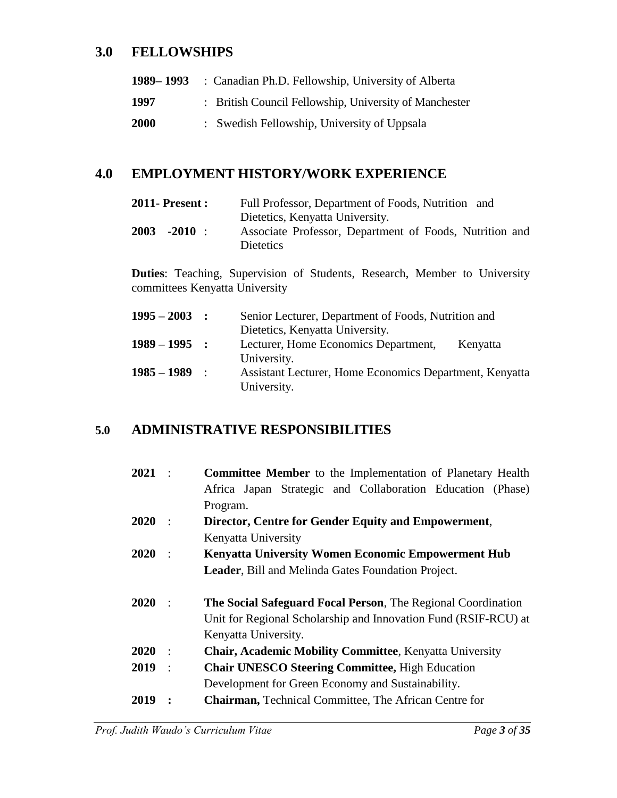# **3.0 FELLOWSHIPS**

| 1989–1993   | : Canadian Ph.D. Fellowship, University of Alberta     |
|-------------|--------------------------------------------------------|
| 1997        | : British Council Fellowship, University of Manchester |
| <b>2000</b> | : Swedish Fellowship, University of Uppsala            |

# **4.0 EMPLOYMENT HISTORY/WORK EXPERIENCE**

| <b>2011-Present:</b> | Full Professor, Department of Foods, Nutrition and                                                             |
|----------------------|----------------------------------------------------------------------------------------------------------------|
| 2003<br>$-2010$ :    | Dietetics, Kenyatta University.<br>Associate Professor, Department of Foods, Nutrition and<br><b>Dietetics</b> |

**Duties**: Teaching, Supervision of Students, Research, Member to University committees Kenyatta University

| $1995 - 2003$   | $\sim$ 1.000 $\pm$ | Senior Lecturer, Department of Foods, Nutrition and     |
|-----------------|--------------------|---------------------------------------------------------|
|                 |                    | Dietetics, Kenyatta University.                         |
| $1989 - 1995$ : |                    | Lecturer, Home Economics Department,<br>Kenyatta        |
|                 |                    | University.                                             |
| $1985 - 1989$   | $\sim$ 1.00        | Assistant Lecturer, Home Economics Department, Kenyatta |
|                 |                    | University.                                             |

# **5.0 ADMINISTRATIVE RESPONSIBILITIES**

| $2021$ : |                        | <b>Committee Member</b> to the Implementation of Planetary Health |
|----------|------------------------|-------------------------------------------------------------------|
|          |                        | Africa Japan Strategic and Collaboration Education (Phase)        |
|          |                        | Program.                                                          |
| 2020     |                        | Director, Centre for Gender Equity and Empowerment,               |
|          |                        | Kenyatta University                                               |
| 2020     |                        | <b>Kenyatta University Women Economic Empowerment Hub</b>         |
|          |                        | <b>Leader, Bill and Melinda Gates Foundation Project.</b>         |
|          |                        |                                                                   |
| 2020     | $\cdot$ :              | The Social Safeguard Focal Person, The Regional Coordination      |
|          |                        | Unit for Regional Scholarship and Innovation Fund (RSIF-RCU) at   |
|          |                        | Kenyatta University.                                              |
| 2020     | $\cdot$ :              | <b>Chair, Academic Mobility Committee, Kenyatta University</b>    |
| 2019     | $\ddot{\phantom{1}}$ : | <b>Chair UNESCO Steering Committee, High Education</b>            |
|          |                        | Development for Green Economy and Sustainability.                 |
| 2019     |                        | <b>Chairman, Technical Committee, The African Centre for</b>      |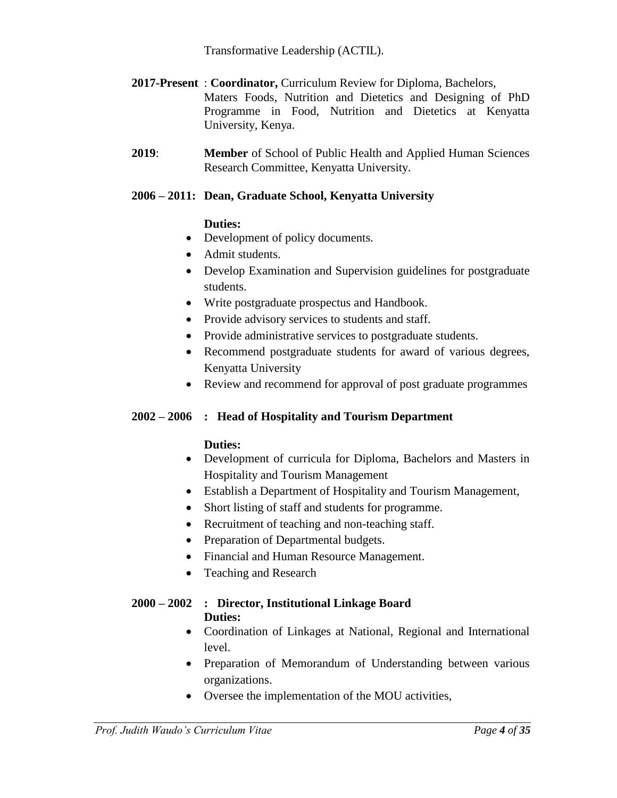Transformative Leadership (ACTIL).

- **2017-Present** : **Coordinator,** Curriculum Review for Diploma, Bachelors, Maters Foods, Nutrition and Dietetics and Designing of PhD Programme in Food, Nutrition and Dietetics at Kenyatta University, Kenya.
- **2019**: **Member** of School of Public Health and Applied Human Sciences Research Committee, Kenyatta University.

# **2006 – 2011: Dean, Graduate School, Kenyatta University**

# **Duties:**

- Development of policy documents.
- Admit students.
- Develop Examination and Supervision guidelines for postgraduate students.
- Write postgraduate prospectus and Handbook.
- Provide advisory services to students and staff.
- Provide administrative services to postgraduate students.
- Recommend postgraduate students for award of various degrees, Kenyatta University
- Review and recommend for approval of post graduate programmes

# **2002 – 2006 : Head of Hospitality and Tourism Department**

# **Duties:**

- Development of curricula for Diploma, Bachelors and Masters in Hospitality and Tourism Management
- Establish a Department of Hospitality and Tourism Management,
- Short listing of staff and students for programme.
- Recruitment of teaching and non-teaching staff.
- Preparation of Departmental budgets.
- Financial and Human Resource Management.
- Teaching and Research

# **2000 – 2002 : Director, Institutional Linkage Board Duties:**

- Coordination of Linkages at National, Regional and International level.
- Preparation of Memorandum of Understanding between various organizations.
- Oversee the implementation of the MOU activities,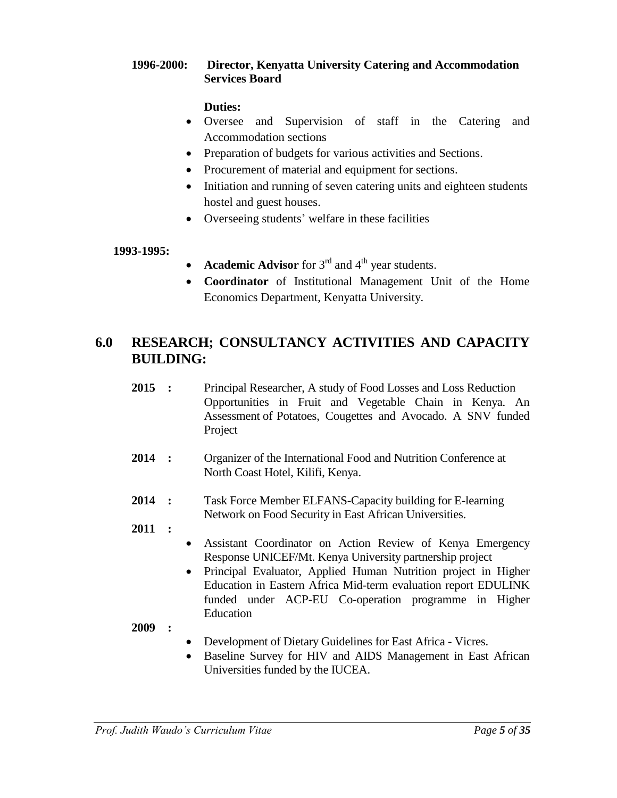# **1996-2000: Director, Kenyatta University Catering and Accommodation Services Board**

# **Duties:**

- Oversee and Supervision of staff in the Catering and Accommodation sections
- Preparation of budgets for various activities and Sections.
- Procurement of material and equipment for sections.
- Initiation and running of seven catering units and eighteen students hostel and guest houses.
- Overseeing students' welfare in these facilities

# **1993-1995:**

- **Academic Advisor** for 3<sup>rd</sup> and 4<sup>th</sup> year students.
- **Coordinator** of Institutional Management Unit of the Home Economics Department, Kenyatta University.

# **6.0 RESEARCH; CONSULTANCY ACTIVITIES AND CAPACITY BUILDING:**

- **2015 :** Principal Researcher, A study of Food Losses and Loss Reduction Opportunities in Fruit and Vegetable Chain in Kenya. An Assessment of Potatoes, Cougettes and Avocado. A SNV funded Project
- **2014 :** Organizer of the International Food and Nutrition Conference at North Coast Hotel, Kilifi, Kenya.
- **2014 :** Task Force Member ELFANS-Capacity building for E-learning Network on Food Security in East African Universities.

# **2011 :**

- Assistant Coordinator on Action Review of Kenya Emergency Response UNICEF/Mt. Kenya University partnership project
- Principal Evaluator, Applied Human Nutrition project in Higher Education in Eastern Africa Mid-term evaluation report EDULINK funded under ACP-EU Co-operation programme in Higher Education

- Development of Dietary Guidelines for East Africa Vicres.
- Baseline Survey for HIV and AIDS Management in East African Universities funded by the IUCEA.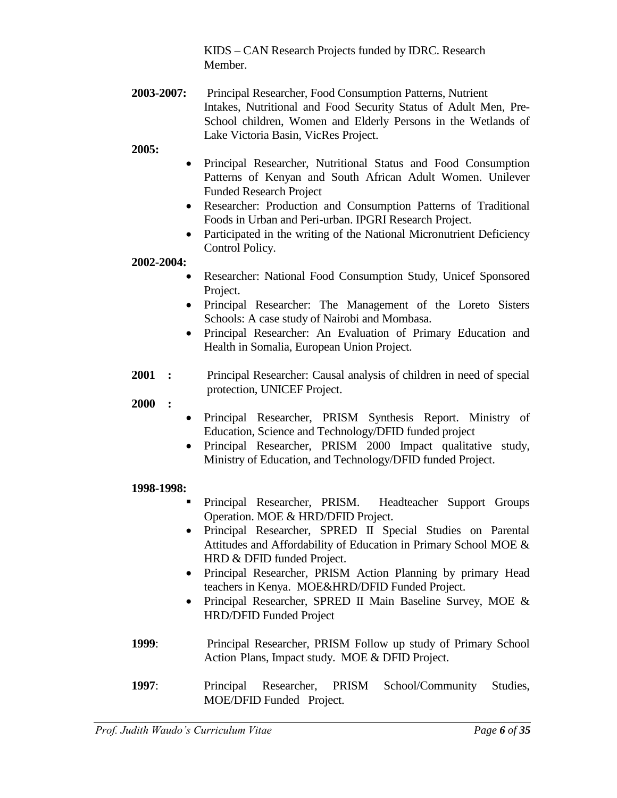KIDS – CAN Research Projects funded by IDRC. Research Member.

**2003-2007:** Principal Researcher, Food Consumption Patterns, Nutrient Intakes, Nutritional and Food Security Status of Adult Men, Pre-School children, Women and Elderly Persons in the Wetlands of Lake Victoria Basin, VicRes Project.

**2005:** 

- Principal Researcher, Nutritional Status and Food Consumption Patterns of Kenyan and South African Adult Women. Unilever Funded Research Project
- Researcher: Production and Consumption Patterns of Traditional Foods in Urban and Peri-urban. IPGRI Research Project.
- Participated in the writing of the National Micronutrient Deficiency Control Policy.

**2002-2004:** 

- Researcher: National Food Consumption Study, Unicef Sponsored Project.
- Principal Researcher: The Management of the Loreto Sisters Schools: A case study of Nairobi and Mombasa.
- Principal Researcher: An Evaluation of Primary Education and Health in Somalia, European Union Project.
- **2001 :** Principal Researcher: Causal analysis of children in need of special protection, UNICEF Project.

**2000 :**

- Principal Researcher, PRISM Synthesis Report. Ministry of Education, Science and Technology/DFID funded project
- Principal Researcher, PRISM 2000 Impact qualitative study, Ministry of Education, and Technology/DFID funded Project.

# **1998-1998:**

- Principal Researcher, PRISM. Headteacher Support Groups Operation. MOE & HRD/DFID Project.
- Principal Researcher, SPRED II Special Studies on Parental Attitudes and Affordability of Education in Primary School MOE & HRD & DFID funded Project.
- Principal Researcher, PRISM Action Planning by primary Head teachers in Kenya. MOE&HRD/DFID Funded Project.
- Principal Researcher, SPRED II Main Baseline Survey, MOE & HRD/DFID Funded Project
- **1999**: Principal Researcher, PRISM Follow up study of Primary School Action Plans, Impact study. MOE & DFID Project.
- **1997**: Principal Researcher, PRISM School/Community Studies, MOE/DFID Funded Project.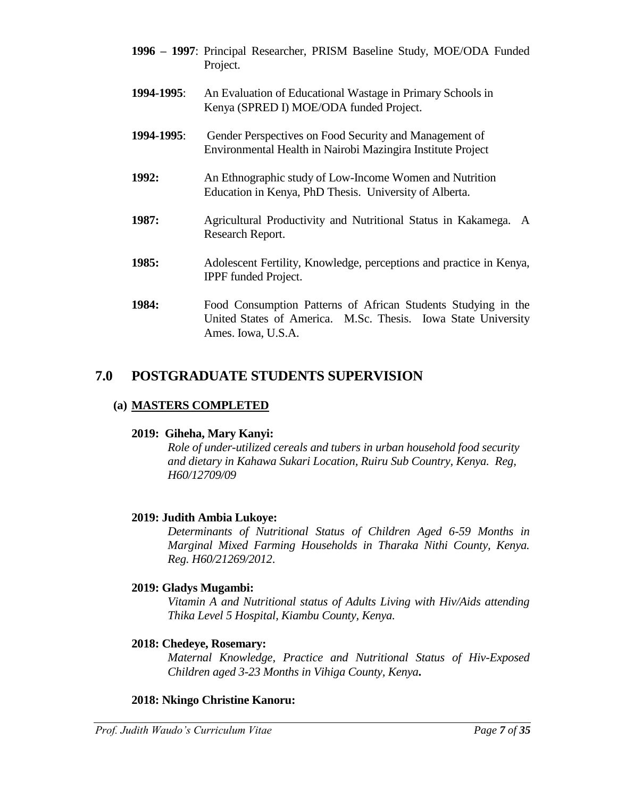- **1996 – 1997**: Principal Researcher, PRISM Baseline Study, MOE/ODA Funded Project.
- **1994-1995**: An Evaluation of Educational Wastage in Primary Schools in Kenya (SPRED I) MOE/ODA funded Project.
- **1994-1995**: Gender Perspectives on Food Security and Management of Environmental Health in Nairobi Mazingira Institute Project
- **1992:** An Ethnographic study of Low-Income Women and Nutrition Education in Kenya, PhD Thesis. University of Alberta.
- **1987:** Agricultural Productivity and Nutritional Status in Kakamega. A Research Report.
- **1985:** Adolescent Fertility, Knowledge, perceptions and practice in Kenya, IPPF funded Project.
- **1984:** Food Consumption Patterns of African Students Studying in the United States of America. M.Sc. Thesis. Iowa State University Ames. Iowa, U.S.A.

# **7.0 POSTGRADUATE STUDENTS SUPERVISION**

# **(a) MASTERS COMPLETED**

# **2019: Giheha, Mary Kanyi:**

*Role of under-utilized cereals and tubers in urban household food security and dietary in Kahawa Sukari Location, Ruiru Sub Country, Kenya. Reg, H60/12709/09* 

# **2019: Judith Ambia Lukoye:**

*Determinants of Nutritional Status of Children Aged 6-59 Months in Marginal Mixed Farming Households in Tharaka Nithi County, Kenya. Reg. H60/21269/2012*.

# **2019: Gladys Mugambi:**

*Vitamin A and Nutritional status of Adults Living with Hiv/Aids attending Thika Level 5 Hospital, Kiambu County, Kenya.*

# **2018: Chedeye, Rosemary:**

*Maternal Knowledge, Practice and Nutritional Status of Hiv-Exposed Children aged 3-23 Months in Vihiga County, Kenya***.**

# **2018: Nkingo Christine Kanoru:**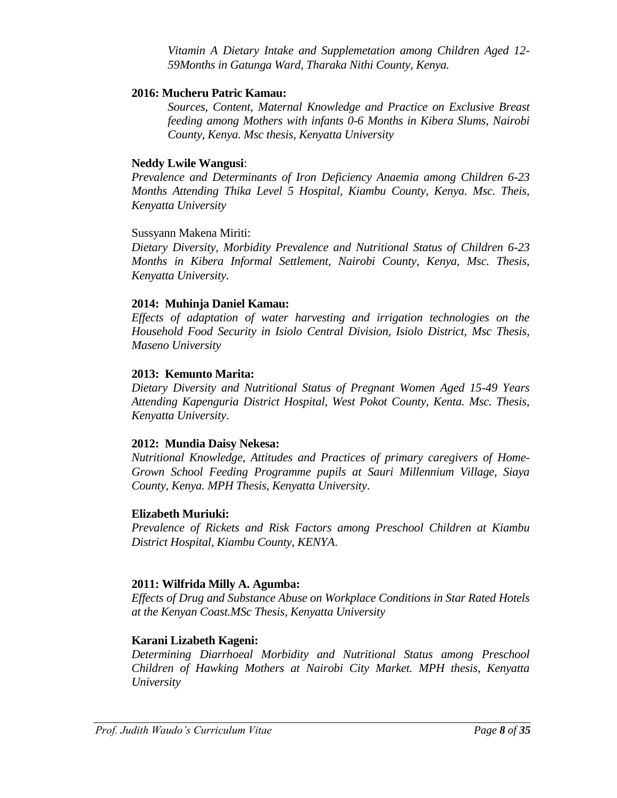*Vitamin A Dietary Intake and Supplemetation among Children Aged 12- 59Months in Gatunga Ward, Tharaka Nithi County, Kenya.*

#### **2016: Mucheru Patric Kamau:**

*Sources, Content, Maternal Knowledge and Practice on Exclusive Breast feeding among Mothers with infants 0-6 Months in Kibera Slums, Nairobi County, Kenya. Msc thesis, Kenyatta University*

### **Neddy Lwile Wangusi**:

*Prevalence and Determinants of Iron Deficiency Anaemia among Children 6-23 Months Attending Thika Level 5 Hospital, Kiambu County, Kenya. Msc. Theis, Kenyatta University*

#### Sussyann Makena Miriti:

*Dietary Diversity, Morbidity Prevalence and Nutritional Status of Children 6-23 Months in Kibera Informal Settlement, Nairobi County, Kenya, Msc. Thesis, Kenyatta University.*

### **2014: Muhinja Daniel Kamau:**

*Effects of adaptation of water harvesting and irrigation technologies on the Household Food Security in Isiolo Central Division, Isiolo District, Msc Thesis, Maseno University*

### **2013: Kemunto Marita:**

*Dietary Diversity and Nutritional Status of Pregnant Women Aged 15-49 Years Attending Kapenguria District Hospital, West Pokot County, Kenta. Msc. Thesis, Kenyatta University*.

#### **2012: Mundia Daisy Nekesa:**

*Nutritional Knowledge, Attitudes and Practices of primary caregivers of Home-Grown School Feeding Programme pupils at Sauri Millennium Village, Siaya County, Kenya. MPH Thesis, Kenyatta University*.

#### **Elizabeth Muriuki:**

*Prevalence of Rickets and Risk Factors among Preschool Children at Kiambu District Hospital, Kiambu County, KENYA*.

#### **2011: Wilfrida Milly A. Agumba:**

*Effects of Drug and Substance Abuse on Workplace Conditions in Star Rated Hotels at the Kenyan Coast.MSc Thesis, Kenyatta University*

# **Karani Lizabeth Kageni:**

*Determining Diarrhoeal Morbidity and Nutritional Status among Preschool Children of Hawking Mothers at Nairobi City Market. MPH thesis, Kenyatta University*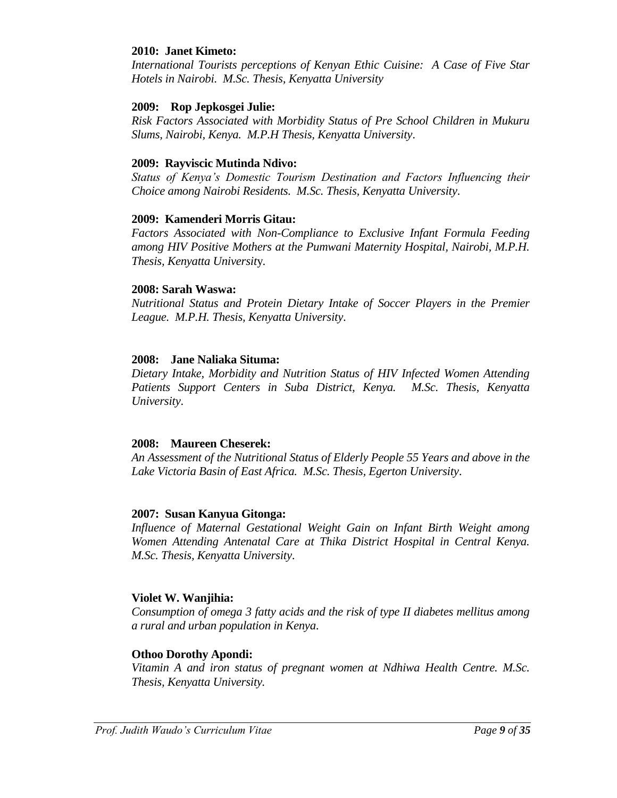#### **2010: Janet Kimeto:**

*International Tourists perceptions of Kenyan Ethic Cuisine: A Case of Five Star Hotels in Nairobi. M.Sc. Thesis, Kenyatta University*

#### **2009: Rop Jepkosgei Julie:**

*Risk Factors Associated with Morbidity Status of Pre School Children in Mukuru Slums, Nairobi, Kenya. M.P.H Thesis, Kenyatta University*.

#### **2009: Rayviscic Mutinda Ndivo:**

*Status of Kenya's Domestic Tourism Destination and Factors Influencing their Choice among Nairobi Residents. M.Sc. Thesis, Kenyatta University*.

### **2009: Kamenderi Morris Gitau:**

*Factors Associated with Non-Compliance to Exclusive Infant Formula Feeding among HIV Positive Mothers at the Pumwani Maternity Hospital, Nairobi, M.P.H. Thesis, Kenyatta Universit*y.

#### **2008: Sarah Waswa:**

*Nutritional Status and Protein Dietary Intake of Soccer Players in the Premier League. M.P.H. Thesis, Kenyatta University*.

#### **2008: Jane Naliaka Situma:**

*Dietary Intake, Morbidity and Nutrition Status of HIV Infected Women Attending Patients Support Centers in Suba District, Kenya. M.Sc. Thesis, Kenyatta University*.

#### **2008: Maureen Cheserek:**

*An Assessment of the Nutritional Status of Elderly People 55 Years and above in the Lake Victoria Basin of East Africa. M.Sc. Thesis, Egerton University*.

#### **2007: Susan Kanyua Gitonga:**

*Influence of Maternal Gestational Weight Gain on Infant Birth Weight among Women Attending Antenatal Care at Thika District Hospital in Central Kenya. M.Sc. Thesis, Kenyatta University*.

#### **Violet W. Wanjihia:**

*Consumption of omega 3 fatty acids and the risk of type II diabetes mellitus among a rural and urban population in Kenya*.

#### **Othoo Dorothy Apondi:**

*Vitamin A and iron status of pregnant women at Ndhiwa Health Centre. M.Sc. Thesis, Kenyatta University.*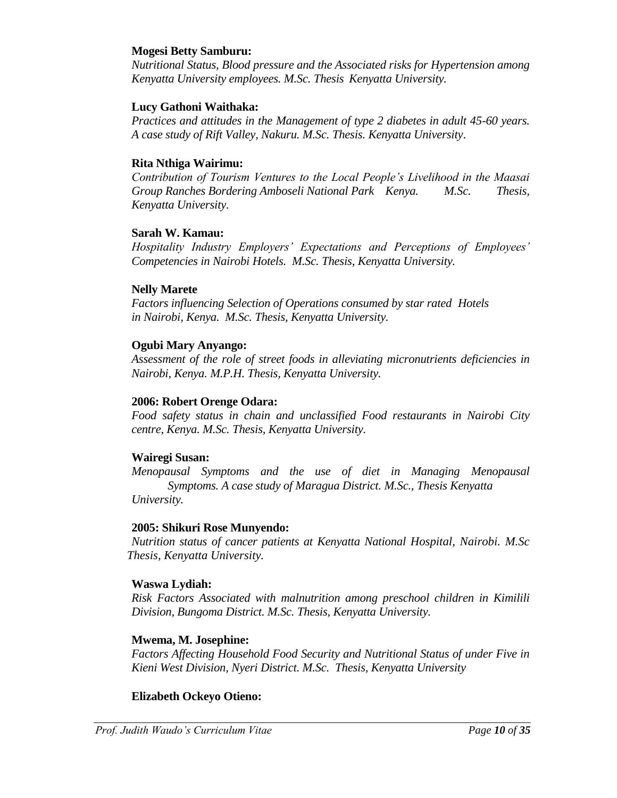#### **Mogesi Betty Samburu:**

*Nutritional Status, Blood pressure and the Associated risks for Hypertension among Kenyatta University employees. M.Sc. Thesis Kenyatta University.*

### **Lucy Gathoni Waithaka:**

*Practices and attitudes in the Management of type 2 diabetes in adult 45-60 years. A case study of Rift Valley, Nakuru. M.Sc. Thesis. Kenyatta University*.

#### **Rita Nthiga Wairimu:**

*Contribution of Tourism Ventures to the Local People's Livelihood in the Maasai Group Ranches Bordering Amboseli National Park Kenya. M.Sc. Thesis, Kenyatta University.*

#### **Sarah W. Kamau:**

*Hospitality Industry Employers' Expectations and Perceptions of Employees' Competencies in Nairobi Hotels. M.Sc. Thesis, Kenyatta University.*

### **Nelly Marete**

*Factors influencing Selection of Operations consumed by star rated Hotels in Nairobi, Kenya. M.Sc. Thesis, Kenyatta University.*

### **Ogubi Mary Anyango:**

*Assessment of the role of street foods in alleviating micronutrients deficiencies in Nairobi, Kenya. M.P.H. Thesis, Kenyatta University.* 

#### **2006: Robert Orenge Odara:**

*Food safety status in chain and unclassified Food restaurants in Nairobi City centre, Kenya. M.Sc. Thesis, Kenyatta University.*

# **Wairegi Susan:**

*Menopausal Symptoms and the use of diet in Managing Menopausal Symptoms. A case study of Maragua District. M.Sc., Thesis Kenyatta University.*

#### **2005: Shikuri Rose Munyendo:**

*Nutrition status of cancer patients at Kenyatta National Hospital, Nairobi. M.Sc Thesis, Kenyatta University.*

#### **Waswa Lydiah:**

*Risk Factors Associated with malnutrition among preschool children in Kimilili Division, Bungoma District. M.Sc. Thesis, Kenyatta University.*

# **Mwema, M. Josephine:**

*Factors Affecting Household Food Security and Nutritional Status of under Five in Kieni West Division, Nyeri District. M.Sc. Thesis, Kenyatta University*

#### **Elizabeth Ockeyo Otieno:**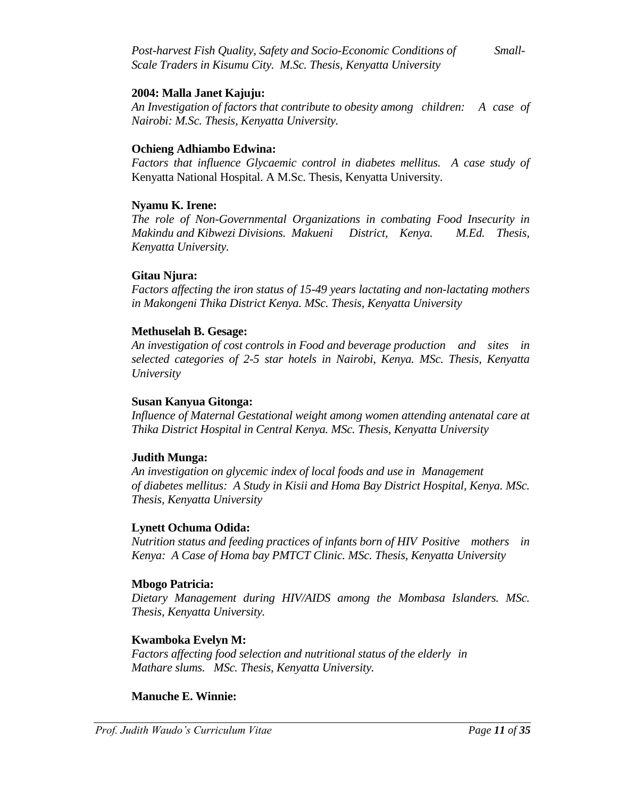*Post-harvest Fish Quality, Safety and Socio-Economic Conditions of Small-Scale Traders in Kisumu City. M.Sc. Thesis, Kenyatta University*

#### **2004: Malla Janet Kajuju:**

*An Investigation of factors that contribute to obesity among children: A case of Nairobi: M.Sc. Thesis, Kenyatta University.*

#### **Ochieng Adhiambo Edwina:**

Factors that influence Glycaemic control in diabetes mellitus. A case study of Kenyatta National Hospital. A M.Sc. Thesis, Kenyatta University.

#### **Nyamu K. Irene:**

*The role of Non-Governmental Organizations in combating Food Insecurity in Makindu and Kibwezi Divisions. Makueni District, Kenya. M.Ed. Thesis, Kenyatta University.*

#### **Gitau Njura:**

*Factors affecting the iron status of 15-49 years lactating and non-lactating mothers in Makongeni Thika District Kenya. MSc. Thesis, Kenyatta University*

#### **Methuselah B. Gesage:**

*An investigation of cost controls in Food and beverage production and sites in selected categories of 2-5 star hotels in Nairobi, Kenya. MSc. Thesis, Kenyatta University*

#### **Susan Kanyua Gitonga:**

*Influence of Maternal Gestational weight among women attending antenatal care at Thika District Hospital in Central Kenya. MSc. Thesis, Kenyatta University*

#### **Judith Munga:**

*An investigation on glycemic index of local foods and use in Management of diabetes mellitus: A Study in Kisii and Homa Bay District Hospital, Kenya. MSc. Thesis, Kenyatta University*

#### **Lynett Ochuma Odida:**

*Nutrition status and feeding practices of infants born of HIV Positive mothers in Kenya: A Case of Homa bay PMTCT Clinic. MSc. Thesis, Kenyatta University*

#### **Mbogo Patricia:**

*Dietary Management during HIV/AIDS among the Mombasa Islanders. MSc. Thesis, Kenyatta University.*

# **Kwamboka Evelyn M:**

*Factors affecting food selection and nutritional status of the elderly in Mathare slums. MSc. Thesis, Kenyatta University.*

#### **Manuche E. Winnie:**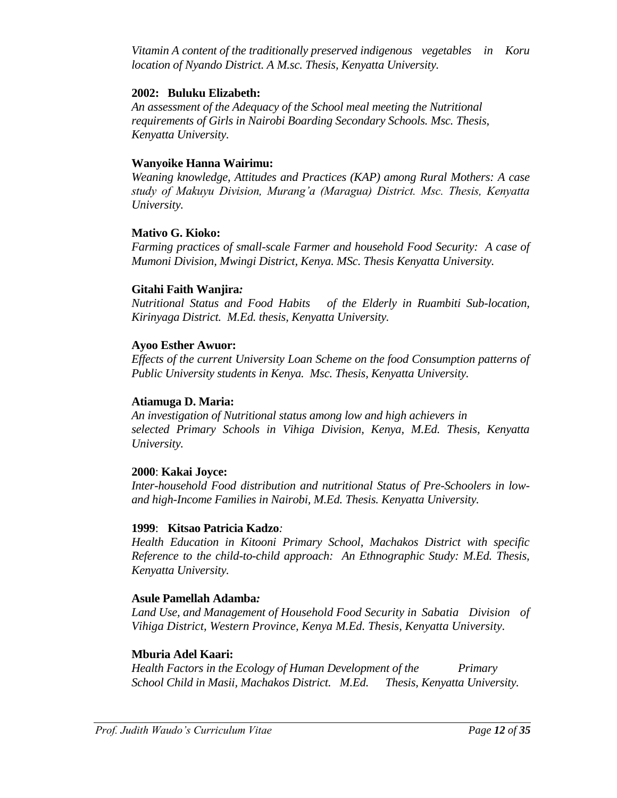*Vitamin A content of the traditionally preserved indigenous vegetables in Koru location of Nyando District. A M.sc. Thesis, Kenyatta University.*

### **2002: Buluku Elizabeth:**

*An assessment of the Adequacy of the School meal meeting the Nutritional requirements of Girls in Nairobi Boarding Secondary Schools. Msc. Thesis, Kenyatta University.*

#### **Wanyoike Hanna Wairimu:**

*Weaning knowledge, Attitudes and Practices (KAP) among Rural Mothers: A case study of Makuyu Division, Murang'a (Maragua) District. Msc. Thesis, Kenyatta University.*

#### **Mativo G. Kioko:**

*Farming practices of small-scale Farmer and household Food Security: A case of Mumoni Division, Mwingi District, Kenya. MSc. Thesis Kenyatta University.*

#### **Gitahi Faith Wanjira***:*

*Nutritional Status and Food Habits of the Elderly in Ruambiti Sub-location, Kirinyaga District. M.Ed. thesis, Kenyatta University.*

#### **Ayoo Esther Awuor:**

*Effects of the current University Loan Scheme on the food Consumption patterns of Public University students in Kenya. Msc. Thesis, Kenyatta University.*

#### **Atiamuga D. Maria:**

*An investigation of Nutritional status among low and high achievers in selected Primary Schools in Vihiga Division, Kenya, M.Ed. Thesis, Kenyatta University.*

#### **2000**: **Kakai Joyce:**

*Inter-household Food distribution and nutritional Status of Pre-Schoolers in lowand high-Income Families in Nairobi, M.Ed. Thesis. Kenyatta University.*

#### **1999**: **Kitsao Patricia Kadzo***:*

*Health Education in Kitooni Primary School, Machakos District with specific Reference to the child-to-child approach: An Ethnographic Study: M.Ed. Thesis, Kenyatta University.*

#### **Asule Pamellah Adamba***:*

*Land Use, and Management of Household Food Security in Sabatia Division of Vihiga District, Western Province, Kenya M.Ed. Thesis, Kenyatta University.*

#### **Mburia Adel Kaari:**

*Health Factors in the Ecology of Human Development of the Primary School Child in Masii, Machakos District. M.Ed. Thesis, Kenyatta University.*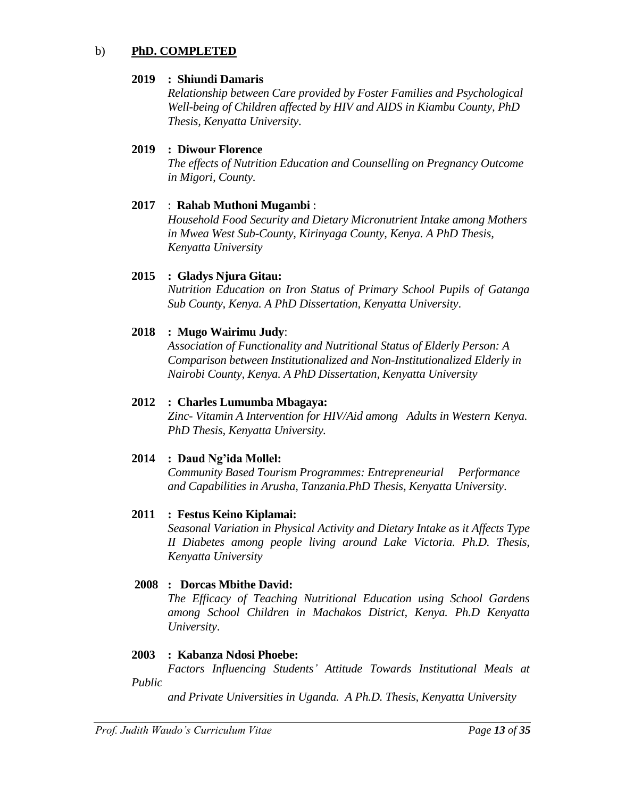### b) **PhD. COMPLETED**

#### **2019 : Shiundi Damaris**

*Relationship between Care provided by Foster Families and Psychological Well-being of Children affected by HIV and AIDS in Kiambu County, PhD Thesis, Kenyatta University*.

# **2019 : Diwour Florence**

*The effects of Nutrition Education and Counselling on Pregnancy Outcome in Migori, County.*

# **2017** : **Rahab Muthoni Mugambi** :

*Household Food Security and Dietary Micronutrient Intake among Mothers in Mwea West Sub-County, Kirinyaga County, Kenya. A PhD Thesis, Kenyatta University* 

# **2015 : Gladys Njura Gitau:**

*Nutrition Education on Iron Status of Primary School Pupils of Gatanga Sub County, Kenya. A PhD Dissertation, Kenyatta University*.

### **2018 : Mugo Wairimu Judy**:

*Association of Functionality and Nutritional Status of Elderly Person: A Comparison between Institutionalized and Non-Institutionalized Elderly in Nairobi County, Kenya. A PhD Dissertation, Kenyatta University*

### **2012 : Charles Lumumba Mbagaya:**

*Zinc- Vitamin A Intervention for HIV/Aid among Adults in Western Kenya. PhD Thesis, Kenyatta University.*

# **2014 : Daud Ng'ida Mollel:**

*Community Based Tourism Programmes: Entrepreneurial Performance and Capabilities in Arusha, Tanzania.PhD Thesis, Kenyatta University*.

# **2011 : Festus Keino Kiplamai:**

*Seasonal Variation in Physical Activity and Dietary Intake as it Affects Type II Diabetes among people living around Lake Victoria. Ph.D. Thesis, Kenyatta University*

# **2008 : Dorcas Mbithe David:**

*The Efficacy of Teaching Nutritional Education using School Gardens among School Children in Machakos District, Kenya. Ph.D Kenyatta University*.

#### **2003 : Kabanza Ndosi Phoebe:**

*Factors Influencing Students' Attitude Towards Institutional Meals at Public* 

*and Private Universities in Uganda. A Ph.D. Thesis, Kenyatta University*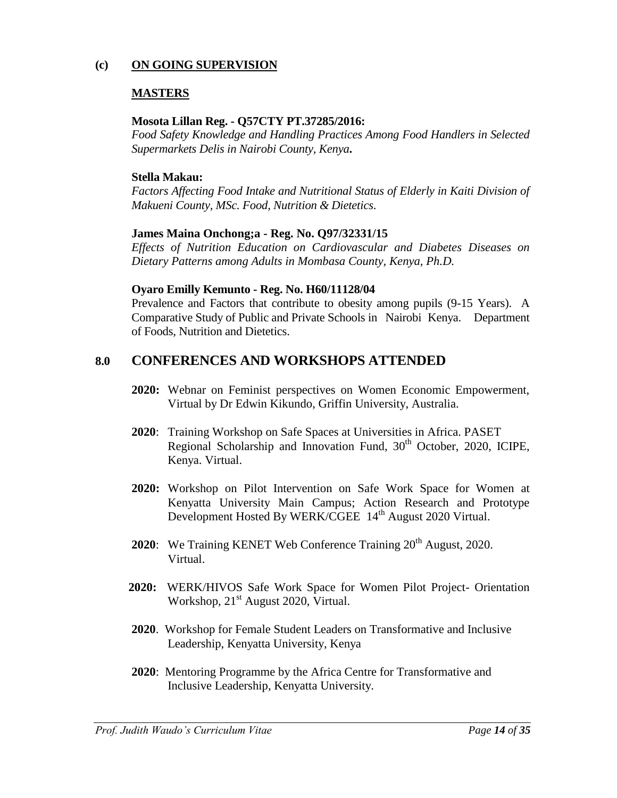# **(c) ON GOING SUPERVISION**

# **MASTERS**

### **Mosota Lillan Reg. - Q57CTY PT.37285/2016:**

*Food Safety Knowledge and Handling Practices Among Food Handlers in Selected Supermarkets Delis in Nairobi County, Kenya***.** 

# **Stella Makau:**

Factors Affecting Food Intake and Nutritional Status of Elderly in Kaiti Division of *Makueni County, MSc. Food, Nutrition & Dietetics*.

# **James Maina Onchong;a - Reg. No. Q97/32331/15**

*Effects of Nutrition Education on Cardiovascular and Diabetes Diseases on Dietary Patterns among Adults in Mombasa County, Kenya, Ph.D.* 

# **Oyaro Emilly Kemunto - Reg. No. H60/11128/04**

Prevalence and Factors that contribute to obesity among pupils (9-15 Years). A Comparative Study of Public and Private Schools in Nairobi Kenya. Department of Foods, Nutrition and Dietetics.

# **8.0 CONFERENCES AND WORKSHOPS ATTENDED**

- **2020:** Webnar on Feminist perspectives on Women Economic Empowerment, Virtual by Dr Edwin Kikundo, Griffin University, Australia.
- **2020**: Training Workshop on Safe Spaces at Universities in Africa. PASET Regional Scholarship and Innovation Fund,  $30<sup>th</sup>$  October, 2020, ICIPE, Kenya. Virtual.
- **2020:** Workshop on Pilot Intervention on Safe Work Space for Women at Kenyatta University Main Campus; Action Research and Prototype Development Hosted By WERK/CGEE 14<sup>th</sup> August 2020 Virtual.
- **2020:** We Training KENET Web Conference Training 20<sup>th</sup> August, 2020. Virtual.
- **2020:** WERK/HIVOS Safe Work Space for Women Pilot Project- Orientation Workshop,  $21<sup>st</sup>$  August 2020, Virtual.
- **2020**. Workshop for Female Student Leaders on Transformative and Inclusive Leadership, Kenyatta University, Kenya
- **2020**: Mentoring Programme by the Africa Centre for Transformative and Inclusive Leadership, Kenyatta University.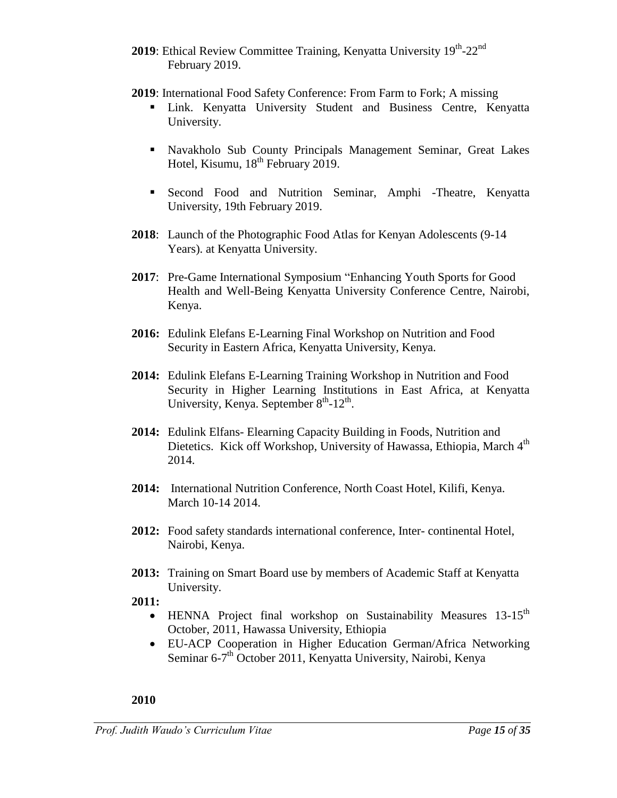- 2019: Ethical Review Committee Training, Kenyatta University 19th-22<sup>nd</sup> February 2019.
- **2019**: International Food Safety Conference: From Farm to Fork; A missing
	- Link. Kenyatta University Student and Business Centre, Kenyatta University.
	- Navakholo Sub County Principals Management Seminar, Great Lakes Hotel, Kisumu, 18<sup>th</sup> February 2019.
	- Second Food and Nutrition Seminar, Amphi -Theatre, Kenyatta University, 19th February 2019.
- **2018**: Launch of the Photographic Food Atlas for Kenyan Adolescents (9-14 Years). at Kenyatta University.
- **2017**: Pre-Game International Symposium "Enhancing Youth Sports for Good Health and Well-Being Kenyatta University Conference Centre, Nairobi, Kenya.
- **2016:** Edulink Elefans E-Learning Final Workshop on Nutrition and Food Security in Eastern Africa, Kenyatta University, Kenya.
- **2014:** Edulink Elefans E-Learning Training Workshop in Nutrition and Food Security in Higher Learning Institutions in East Africa, at Kenyatta University, Kenya. September 8<sup>th</sup>-12<sup>th</sup>.
- **2014:** Edulink Elfans- Elearning Capacity Building in Foods, Nutrition and Dietetics. Kick off Workshop, University of Hawassa, Ethiopia, March 4<sup>th</sup> 2014.
- **2014:** International Nutrition Conference, North Coast Hotel, Kilifi, Kenya. March 10-14 2014.
- **2012:** Food safety standards international conference, Inter- continental Hotel, Nairobi, Kenya.
- **2013:** Training on Smart Board use by members of Academic Staff at Kenyatta University.
- **2011:**
	- $\bullet$  HENNA Project final workshop on Sustainability Measures 13-15<sup>th</sup> October, 2011, Hawassa University, Ethiopia
	- EU-ACP Cooperation in Higher Education German/Africa Networking Seminar 6-7<sup>th</sup> October 2011, Kenyatta University, Nairobi, Kenya

# **2010**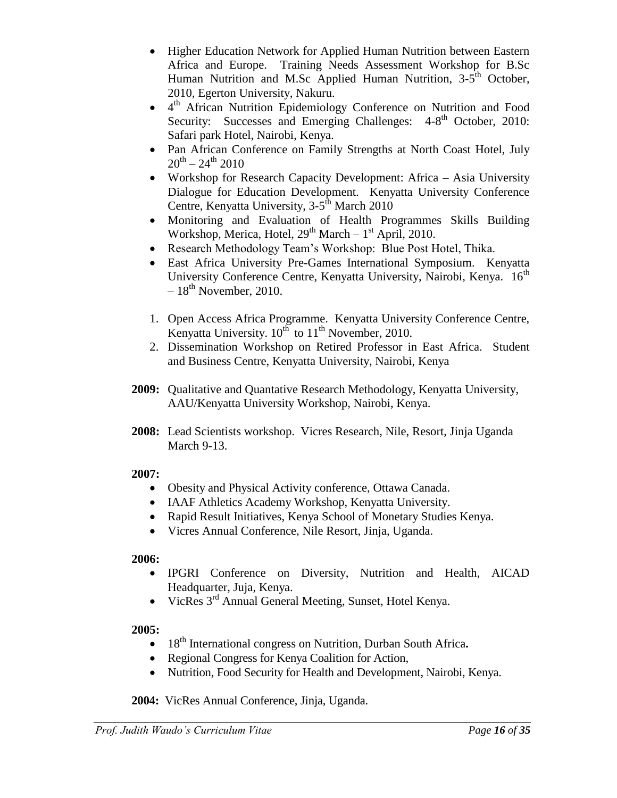- Higher Education Network for Applied Human Nutrition between Eastern Africa and Europe. Training Needs Assessment Workshop for B.Sc Human Nutrition and M.Sc Applied Human Nutrition, 3-5<sup>th</sup> October, 2010, Egerton University, Nakuru.
- 4 th African Nutrition Epidemiology Conference on Nutrition and Food Security: Successes and Emerging Challenges: 4-8<sup>th</sup> October, 2010: Safari park Hotel, Nairobi, Kenya.
- Pan African Conference on Family Strengths at North Coast Hotel, July  $20^{\rm th}$  –  $24^{\rm th}$   $2010$
- Workshop for Research Capacity Development: Africa Asia University Dialogue for Education Development. Kenyatta University Conference Centre, Kenyatta University, 3-5<sup>th</sup> March 2010
- Monitoring and Evaluation of Health Programmes Skills Building Workshop, Merica, Hotel,  $29<sup>th</sup> March - 1<sup>st</sup> April, 2010.$
- Research Methodology Team's Workshop: Blue Post Hotel, Thika.
- East Africa University Pre-Games International Symposium. Kenyatta University Conference Centre, Kenyatta University, Nairobi, Kenya. 16<sup>th</sup>  $-18^{th}$  November, 2010.
- 1. Open Access Africa Programme. Kenyatta University Conference Centre, Kenyatta University.  $10^{th}$  to  $11^{th}$  November, 2010.
- 2. Dissemination Workshop on Retired Professor in East Africa. Student and Business Centre, Kenyatta University, Nairobi, Kenya
- **2009:** Qualitative and Quantative Research Methodology, Kenyatta University, AAU/Kenyatta University Workshop, Nairobi, Kenya.
- **2008:** Lead Scientists workshop. Vicres Research, Nile, Resort, Jinja Uganda March 9-13.

# **2007:**

- Obesity and Physical Activity conference, Ottawa Canada.
- IAAF Athletics Academy Workshop, Kenyatta University.
- Rapid Result Initiatives, Kenya School of Monetary Studies Kenya.
- Vicres Annual Conference, Nile Resort, Jinja, Uganda.

# **2006:**

- IPGRI Conference on Diversity, Nutrition and Health, AICAD Headquarter, Juja, Kenya.
- VicRes 3<sup>rd</sup> Annual General Meeting, Sunset, Hotel Kenya.

# **2005:**

- 18<sup>th</sup> International congress on Nutrition, Durban South Africa.
- Regional Congress for Kenya Coalition for Action,
- Nutrition, Food Security for Health and Development, Nairobi, Kenya.

**2004:** VicRes Annual Conference, Jinja, Uganda.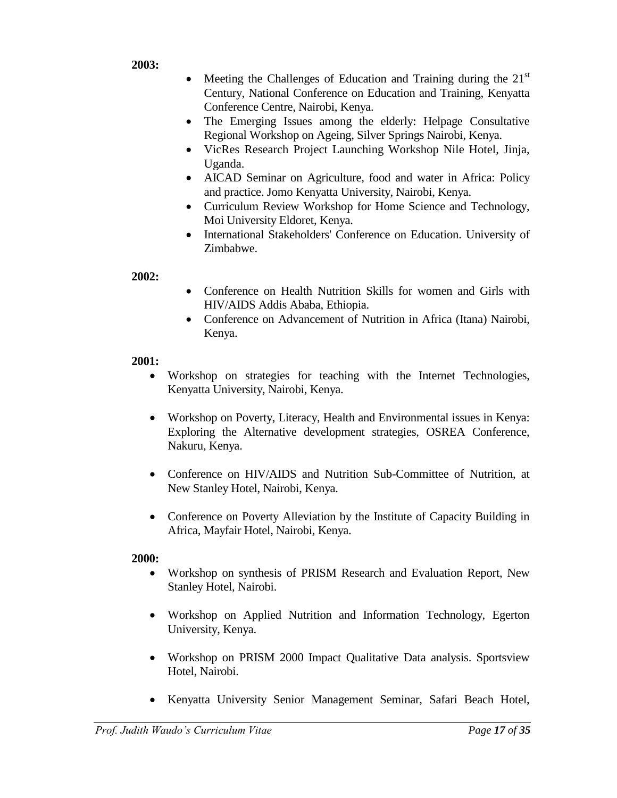**2003:**

- Meeting the Challenges of Education and Training during the  $21<sup>st</sup>$ Century, National Conference on Education and Training, Kenyatta Conference Centre, Nairobi, Kenya.
- The Emerging Issues among the elderly: Helpage Consultative Regional Workshop on Ageing, Silver Springs Nairobi, Kenya.
- VicRes Research Project Launching Workshop Nile Hotel, Jinja, Uganda.
- AICAD Seminar on Agriculture, food and water in Africa: Policy and practice. Jomo Kenyatta University, Nairobi, Kenya.
- Curriculum Review Workshop for Home Science and Technology, Moi University Eldoret, Kenya.
- International Stakeholders' Conference on Education. University of Zimbabwe.

**2002:** 

- Conference on Health Nutrition Skills for women and Girls with HIV/AIDS Addis Ababa, Ethiopia.
- Conference on Advancement of Nutrition in Africa (Itana) Nairobi, Kenya.

# **2001:**

- Workshop on strategies for teaching with the Internet Technologies, Kenyatta University, Nairobi, Kenya.
- Workshop on Poverty, Literacy, Health and Environmental issues in Kenya: Exploring the Alternative development strategies, OSREA Conference, Nakuru, Kenya.
- Conference on HIV/AIDS and Nutrition Sub-Committee of Nutrition, at New Stanley Hotel, Nairobi, Kenya.
- Conference on Poverty Alleviation by the Institute of Capacity Building in Africa, Mayfair Hotel, Nairobi, Kenya.

- Workshop on synthesis of PRISM Research and Evaluation Report, New Stanley Hotel, Nairobi.
- Workshop on Applied Nutrition and Information Technology, Egerton University, Kenya.
- Workshop on PRISM 2000 Impact Qualitative Data analysis. Sportsview Hotel, Nairobi.
- Kenyatta University Senior Management Seminar, Safari Beach Hotel,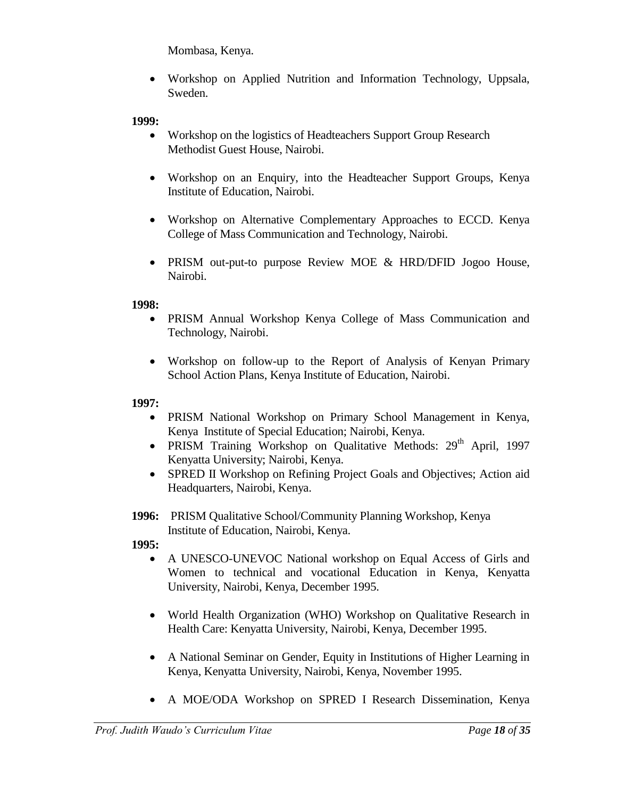Mombasa, Kenya.

 Workshop on Applied Nutrition and Information Technology, Uppsala, Sweden.

# **1999:**

- Workshop on the logistics of Headteachers Support Group Research Methodist Guest House, Nairobi.
- Workshop on an Enquiry, into the Headteacher Support Groups, Kenya Institute of Education, Nairobi.
- Workshop on Alternative Complementary Approaches to ECCD. Kenya College of Mass Communication and Technology, Nairobi.
- PRISM out-put-to purpose Review MOE & HRD/DFID Jogoo House, Nairobi.

# **1998:**

- PRISM Annual Workshop Kenya College of Mass Communication and Technology, Nairobi.
- Workshop on follow-up to the Report of Analysis of Kenyan Primary School Action Plans, Kenya Institute of Education, Nairobi.

# **1997:**

- PRISM National Workshop on Primary School Management in Kenya, Kenya Institute of Special Education; Nairobi, Kenya.
- PRISM Training Workshop on Qualitative Methods: 29<sup>th</sup> April, 1997 Kenyatta University; Nairobi, Kenya.
- SPRED II Workshop on Refining Project Goals and Objectives; Action aid Headquarters, Nairobi, Kenya.
- **1996:** PRISM Qualitative School/Community Planning Workshop, Kenya Institute of Education, Nairobi, Kenya.

- A UNESCO-UNEVOC National workshop on Equal Access of Girls and Women to technical and vocational Education in Kenya, Kenyatta University, Nairobi, Kenya, December 1995.
- World Health Organization (WHO) Workshop on Qualitative Research in Health Care: Kenyatta University, Nairobi, Kenya, December 1995.
- A National Seminar on Gender, Equity in Institutions of Higher Learning in Kenya, Kenyatta University, Nairobi, Kenya, November 1995.
- A MOE/ODA Workshop on SPRED I Research Dissemination, Kenya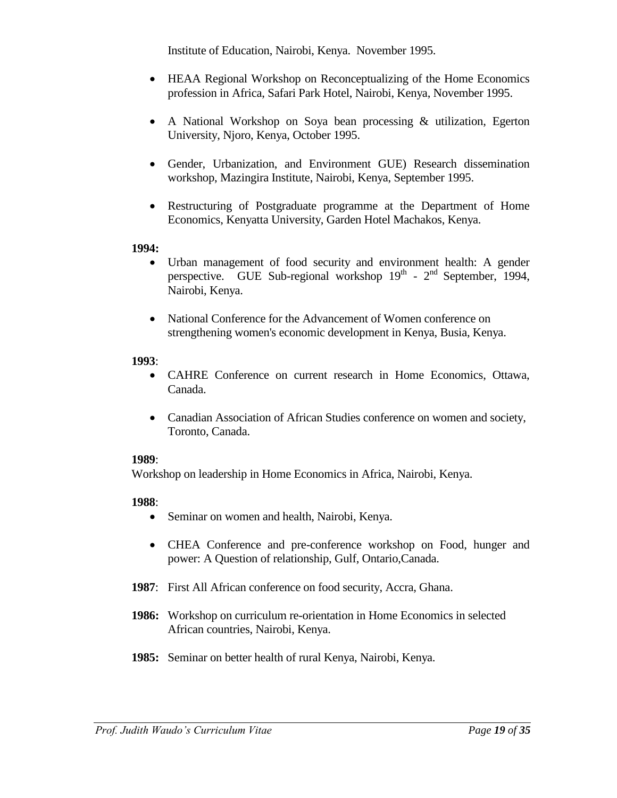Institute of Education, Nairobi, Kenya. November 1995.

- HEAA Regional Workshop on Reconceptualizing of the Home Economics profession in Africa, Safari Park Hotel, Nairobi, Kenya, November 1995.
- A National Workshop on Soya bean processing & utilization, Egerton University, Njoro, Kenya, October 1995.
- Gender, Urbanization, and Environment GUE) Research dissemination workshop, Mazingira Institute, Nairobi, Kenya, September 1995.
- Restructuring of Postgraduate programme at the Department of Home Economics, Kenyatta University, Garden Hotel Machakos, Kenya.

# **1994:**

- Urban management of food security and environment health: A gender perspective. GUE Sub-regional workshop  $19<sup>th</sup>$  -  $2<sup>nd</sup>$  September, 1994, Nairobi, Kenya.
- National Conference for the Advancement of Women conference on strengthening women's economic development in Kenya, Busia, Kenya.

# **1993**:

- CAHRE Conference on current research in Home Economics, Ottawa, Canada.
- Canadian Association of African Studies conference on women and society, Toronto, Canada.

# **1989**:

Workshop on leadership in Home Economics in Africa, Nairobi, Kenya.

- Seminar on women and health, Nairobi, Kenya.
- CHEA Conference and pre-conference workshop on Food, hunger and power: A Question of relationship, Gulf, Ontario,Canada.
- **1987**: First All African conference on food security, Accra, Ghana.
- **1986:** Workshop on curriculum re-orientation in Home Economics in selected African countries, Nairobi, Kenya.
- **1985:** Seminar on better health of rural Kenya, Nairobi, Kenya.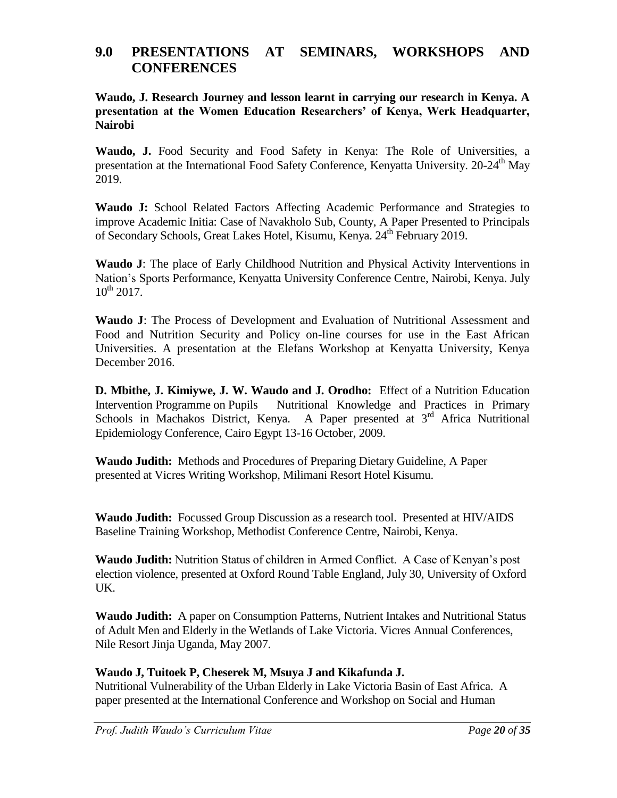# **9.0 PRESENTATIONS AT SEMINARS, WORKSHOPS AND CONFERENCES**

**Waudo, J. Research Journey and lesson learnt in carrying our research in Kenya. A presentation at the Women Education Researchers' of Kenya, Werk Headquarter, Nairobi**

**Waudo, J.** Food Security and Food Safety in Kenya: The Role of Universities, a presentation at the International Food Safety Conference, Kenyatta University. 20-24<sup>th</sup> May 2019.

**Waudo J:** School Related Factors Affecting Academic Performance and Strategies to improve Academic Initia: Case of Navakholo Sub, County, A Paper Presented to Principals of Secondary Schools, Great Lakes Hotel, Kisumu, Kenya. 24<sup>th</sup> February 2019.

**Waudo J**: The place of Early Childhood Nutrition and Physical Activity Interventions in Nation's Sports Performance, Kenyatta University Conference Centre, Nairobi, Kenya. July  $10^{th}$  2017.

**Waudo J**: The Process of Development and Evaluation of Nutritional Assessment and Food and Nutrition Security and Policy on-line courses for use in the East African Universities. A presentation at the Elefans Workshop at Kenyatta University, Kenya December 2016.

**D. Mbithe, J. Kimiywe, J. W. Waudo and J. Orodho:** Effect of a Nutrition Education Intervention Programme on Pupils Nutritional Knowledge and Practices in Primary Schools in Machakos District, Kenya. A Paper presented at 3<sup>rd</sup> Africa Nutritional Epidemiology Conference, Cairo Egypt 13-16 October, 2009.

**Waudo Judith:** Methods and Procedures of Preparing Dietary Guideline, A Paper presented at Vicres Writing Workshop, Milimani Resort Hotel Kisumu.

**Waudo Judith:** Focussed Group Discussion as a research tool. Presented at HIV/AIDS Baseline Training Workshop, Methodist Conference Centre, Nairobi, Kenya.

**Waudo Judith:** Nutrition Status of children in Armed Conflict. A Case of Kenyan's post election violence, presented at Oxford Round Table England, July 30, University of Oxford UK.

**Waudo Judith:** A paper on Consumption Patterns, Nutrient Intakes and Nutritional Status of Adult Men and Elderly in the Wetlands of Lake Victoria. Vicres Annual Conferences, Nile Resort Jinja Uganda, May 2007.

# **Waudo J, Tuitoek P, Cheserek M, Msuya J and Kikafunda J.**

Nutritional Vulnerability of the Urban Elderly in Lake Victoria Basin of East Africa. A paper presented at the International Conference and Workshop on Social and Human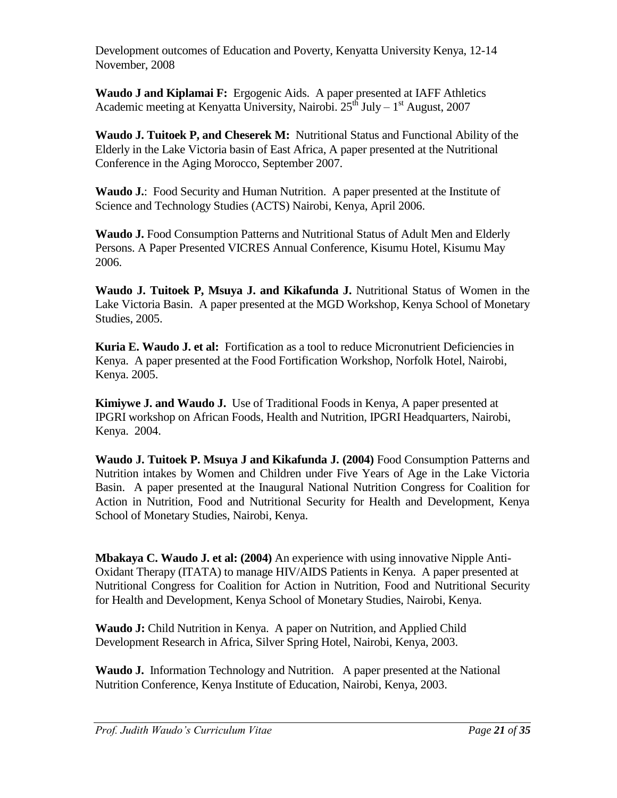Development outcomes of Education and Poverty, Kenyatta University Kenya, 12-14 November, 2008

**Waudo J and Kiplamai F:** Ergogenic Aids. A paper presented at IAFF Athletics Academic meeting at Kenyatta University, Nairobi.  $25<sup>th</sup>$  July – 1<sup>st</sup> August, 2007

**Waudo J. Tuitoek P, and Cheserek M:** Nutritional Status and Functional Ability of the Elderly in the Lake Victoria basin of East Africa, A paper presented at the Nutritional Conference in the Aging Morocco, September 2007.

**Waudo J.**: Food Security and Human Nutrition. A paper presented at the Institute of Science and Technology Studies (ACTS) Nairobi, Kenya, April 2006.

**Waudo J.** Food Consumption Patterns and Nutritional Status of Adult Men and Elderly Persons. A Paper Presented VICRES Annual Conference, Kisumu Hotel, Kisumu May 2006.

**Waudo J. Tuitoek P, Msuya J. and Kikafunda J.** Nutritional Status of Women in the Lake Victoria Basin. A paper presented at the MGD Workshop, Kenya School of Monetary Studies, 2005.

**Kuria E. Waudo J. et al:** Fortification as a tool to reduce Micronutrient Deficiencies in Kenya. A paper presented at the Food Fortification Workshop, Norfolk Hotel, Nairobi, Kenya. 2005.

**Kimiywe J. and Waudo J.** Use of Traditional Foods in Kenya, A paper presented at IPGRI workshop on African Foods, Health and Nutrition, IPGRI Headquarters, Nairobi, Kenya. 2004.

**Waudo J. Tuitoek P. Msuya J and Kikafunda J. (2004)** Food Consumption Patterns and Nutrition intakes by Women and Children under Five Years of Age in the Lake Victoria Basin. A paper presented at the Inaugural National Nutrition Congress for Coalition for Action in Nutrition, Food and Nutritional Security for Health and Development, Kenya School of Monetary Studies, Nairobi, Kenya.

**Mbakaya C. Waudo J. et al: (2004)** An experience with using innovative Nipple Anti-Oxidant Therapy (ITATA) to manage HIV/AIDS Patients in Kenya. A paper presented at Nutritional Congress for Coalition for Action in Nutrition, Food and Nutritional Security for Health and Development, Kenya School of Monetary Studies, Nairobi, Kenya.

**Waudo J:** Child Nutrition in Kenya.A paper on Nutrition, and Applied Child Development Research in Africa, Silver Spring Hotel, Nairobi, Kenya, 2003.

**Waudo J.** Information Technology and Nutrition. A paper presented at the National Nutrition Conference, Kenya Institute of Education, Nairobi, Kenya, 2003.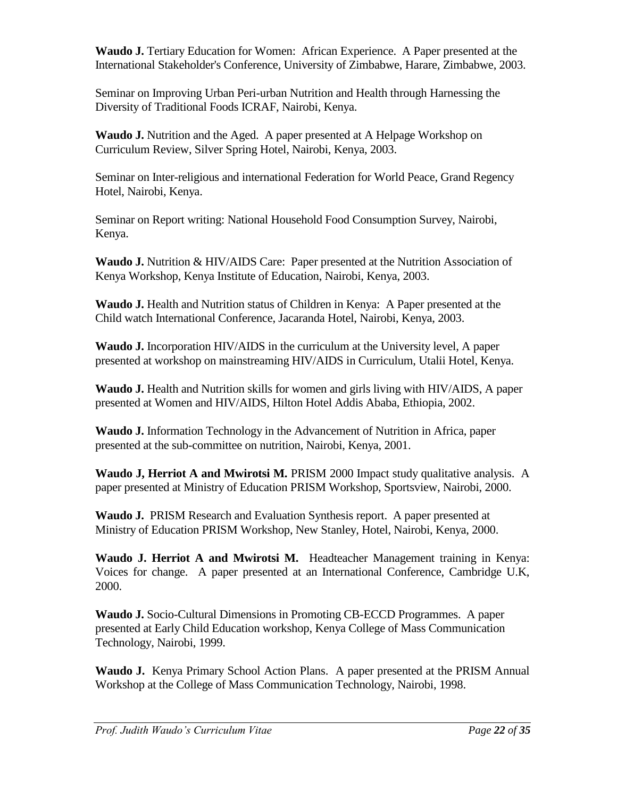**Waudo J.** Tertiary Education for Women: African Experience. A Paper presented at the International Stakeholder's Conference, University of Zimbabwe, Harare, Zimbabwe, 2003.

Seminar on Improving Urban Peri-urban Nutrition and Health through Harnessing the Diversity of Traditional Foods ICRAF, Nairobi, Kenya.

**Waudo J.** Nutrition and the Aged. A paper presented at A Helpage Workshop on Curriculum Review, Silver Spring Hotel, Nairobi, Kenya, 2003.

Seminar on Inter-religious and international Federation for World Peace, Grand Regency Hotel, Nairobi, Kenya.

Seminar on Report writing: National Household Food Consumption Survey, Nairobi, Kenya.

**Waudo J.** Nutrition & HIV/AIDS Care: Paper presented at the Nutrition Association of Kenya Workshop, Kenya Institute of Education, Nairobi, Kenya, 2003.

**Waudo J.** Health and Nutrition status of Children in Kenya: A Paper presented at the Child watch International Conference, Jacaranda Hotel, Nairobi, Kenya, 2003.

**Waudo J.** Incorporation HIV/AIDS in the curriculum at the University level, A paper presented at workshop on mainstreaming HIV/AIDS in Curriculum, Utalii Hotel, Kenya.

**Waudo J.** Health and Nutrition skills for women and girls living with HIV/AIDS, A paper presented at Women and HIV/AIDS, Hilton Hotel Addis Ababa, Ethiopia, 2002.

**Waudo J.** Information Technology in the Advancement of Nutrition in Africa, paper presented at the sub-committee on nutrition, Nairobi, Kenya, 2001.

**Waudo J, Herriot A and Mwirotsi M. PRISM 2000 Impact study qualitative analysis. A** paper presented at Ministry of Education PRISM Workshop, Sportsview, Nairobi, 2000.

**Waudo J.** PRISM Research and Evaluation Synthesis report. A paper presented at Ministry of Education PRISM Workshop, New Stanley, Hotel, Nairobi, Kenya, 2000.

**Waudo J. Herriot A and Mwirotsi M.** Headteacher Management training in Kenya: Voices for change. A paper presented at an International Conference, Cambridge U.K, 2000.

**Waudo J.** Socio-Cultural Dimensions in Promoting CB-ECCD Programmes. A paper presented at Early Child Education workshop, Kenya College of Mass Communication Technology, Nairobi, 1999.

**Waudo J.** Kenya Primary School Action Plans. A paper presented at the PRISM Annual Workshop at the College of Mass Communication Technology, Nairobi, 1998.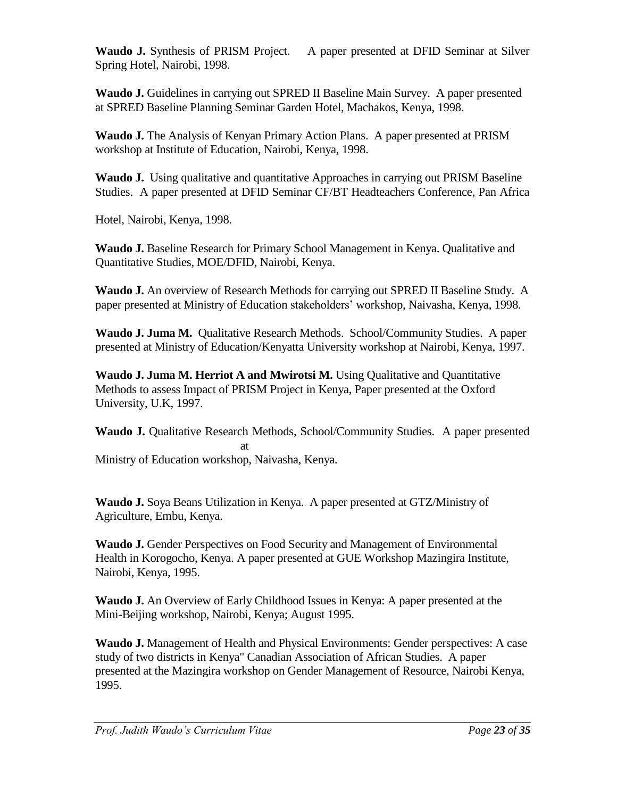**Waudo J.** Synthesis of PRISM Project. A paper presented at DFID Seminar at Silver Spring Hotel, Nairobi, 1998.

**Waudo J.** Guidelines in carrying out SPRED II Baseline Main Survey. A paper presented at SPRED Baseline Planning Seminar Garden Hotel, Machakos, Kenya, 1998.

**Waudo J.** The Analysis of Kenyan Primary Action Plans. A paper presented at PRISM workshop at Institute of Education, Nairobi, Kenya, 1998.

**Waudo J.** Using qualitative and quantitative Approaches in carrying out PRISM Baseline Studies. A paper presented at DFID Seminar CF/BT Headteachers Conference, Pan Africa

Hotel, Nairobi, Kenya, 1998.

**Waudo J.** Baseline Research for Primary School Management in Kenya. Qualitative and Quantitative Studies, MOE/DFID, Nairobi, Kenya.

**Waudo J.** An overview of Research Methods for carrying out SPRED II Baseline Study. A paper presented at Ministry of Education stakeholders' workshop, Naivasha, Kenya, 1998.

**Waudo J. Juma M.** Qualitative Research Methods. School/Community Studies. A paper presented at Ministry of Education/Kenyatta University workshop at Nairobi, Kenya, 1997.

**Waudo J. Juma M. Herriot A and Mwirotsi M.** Using Qualitative and Quantitative Methods to assess Impact of PRISM Project in Kenya, Paper presented at the Oxford University, U.K, 1997.

**Waudo J.** Qualitative Research Methods, School/Community Studies. A paper presented at Ministry of Education workshop, Naivasha, Kenya.

**Waudo J.** Soya Beans Utilization in Kenya. A paper presented at GTZ/Ministry of Agriculture, Embu, Kenya.

**Waudo J.** Gender Perspectives on Food Security and Management of Environmental Health in Korogocho, Kenya. A paper presented at GUE Workshop Mazingira Institute, Nairobi, Kenya, 1995.

**Waudo J.** An Overview of Early Childhood Issues in Kenya: A paper presented at the Mini-Beijing workshop, Nairobi, Kenya; August 1995.

**Waudo J.** Management of Health and Physical Environments: Gender perspectives: A case study of two districts in Kenya" Canadian Association of African Studies. A paper presented at the Mazingira workshop on Gender Management of Resource, Nairobi Kenya, 1995.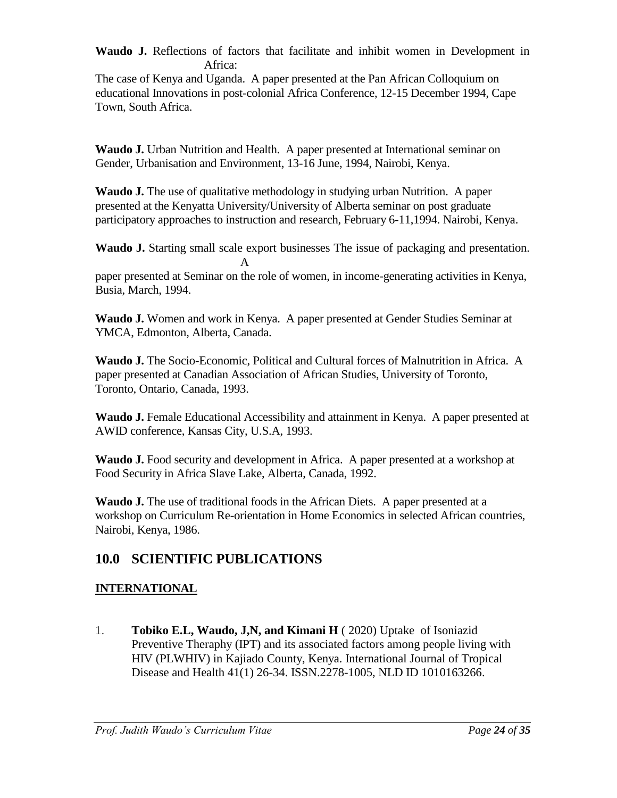**Waudo J.** Reflections of factors that facilitate and inhibit women in Development in Africa:

The case of Kenya and Uganda. A paper presented at the Pan African Colloquium on educational Innovations in post-colonial Africa Conference, 12-15 December 1994, Cape Town, South Africa.

**Waudo J.** Urban Nutrition and Health. A paper presented at International seminar on Gender, Urbanisation and Environment, 13-16 June, 1994, Nairobi, Kenya.

**Waudo J.** The use of qualitative methodology in studying urban Nutrition. A paper presented at the Kenyatta University/University of Alberta seminar on post graduate participatory approaches to instruction and research, February 6-11,1994. Nairobi, Kenya.

**Waudo J.** Starting small scale export businesses The issue of packaging and presentation. A

paper presented at Seminar on the role of women, in income-generating activities in Kenya, Busia, March, 1994.

**Waudo J.** Women and work in Kenya. A paper presented at Gender Studies Seminar at YMCA, Edmonton, Alberta, Canada.

**Waudo J.** The Socio-Economic, Political and Cultural forces of Malnutrition in Africa. A paper presented at Canadian Association of African Studies, University of Toronto, Toronto, Ontario, Canada, 1993.

**Waudo J.** Female Educational Accessibility and attainment in Kenya. A paper presented at AWID conference, Kansas City, U.S.A, 1993.

**Waudo J.** Food security and development in Africa. A paper presented at a workshop at Food Security in Africa Slave Lake, Alberta, Canada, 1992.

**Waudo J.** The use of traditional foods in the African Diets. A paper presented at a workshop on Curriculum Re-orientation in Home Economics in selected African countries, Nairobi, Kenya, 1986.

# **10.0 SCIENTIFIC PUBLICATIONS**

# **INTERNATIONAL**

1. **Tobiko E.L, Waudo, J,N, and Kimani H** ( 2020) Uptake of Isoniazid Preventive Theraphy (IPT) and its associated factors among people living with HIV (PLWHIV) in Kajiado County, Kenya. International Journal of Tropical Disease and Health 41(1) 26-34. ISSN.2278-1005, NLD ID 1010163266.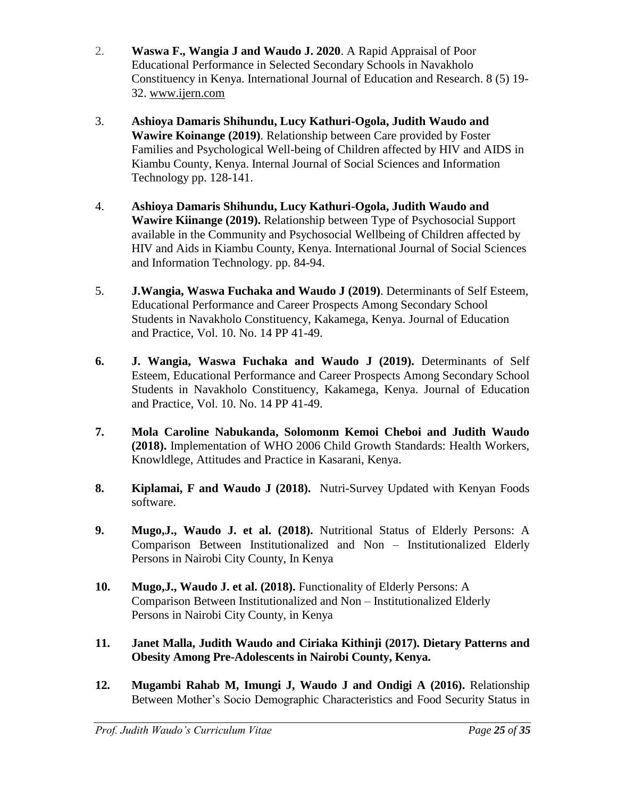- 2. **Waswa F., Wangia J and Waudo J. 2020**. A Rapid Appraisal of Poor Educational Performance in Selected Secondary Schools in Navakholo Constituency in Kenya. International Journal of Education and Research. 8 (5) 19- 32. [www.ijern.com](http://www.ijern.com/)
- 3. **Ashioya Damaris Shihundu, Lucy Kathuri-Ogola, Judith Waudo and Wawire Koinange (2019)**. Relationship between Care provided by Foster Families and Psychological Well-being of Children affected by HIV and AIDS in Kiambu County, Kenya. Internal Journal of Social Sciences and Information Technology pp. 128-141.
- 4. **Ashioya Damaris Shihundu, Lucy Kathuri-Ogola, Judith Waudo and Wawire Kiinange (2019).** Relationship between Type of Psychosocial Support available in the Community and Psychosocial Wellbeing of Children affected by HIV and Aids in Kiambu County, Kenya. International Journal of Social Sciences and Information Technology. pp. 84-94.
- 5. **J.Wangia, Waswa Fuchaka and Waudo J (2019)**. Determinants of Self Esteem, Educational Performance and Career Prospects Among Secondary School Students in Navakholo Constituency, Kakamega, Kenya. Journal of Education and Practice, Vol. 10. No. 14 PP 41-49.
- **6. J. Wangia, Waswa Fuchaka and Waudo J (2019).** Determinants of Self Esteem, Educational Performance and Career Prospects Among Secondary School Students in Navakholo Constituency, Kakamega, Kenya. Journal of Education and Practice, Vol. 10. No. 14 PP 41-49.
- **7. Mola Caroline Nabukanda, Solomonm Kemoi Cheboi and Judith Waudo (2018).** Implementation of WHO 2006 Child Growth Standards: Health Workers, Knowldlege, Attitudes and Practice in Kasarani, Kenya.
- **8. Kiplamai, F and Waudo J (2018).** Nutri-Survey Updated with Kenyan Foods software.
- **9. Mugo,J., Waudo J. et al. (2018).** Nutritional Status of Elderly Persons: A Comparison Between Institutionalized and Non – Institutionalized Elderly Persons in Nairobi City County, In Kenya
- **10. Mugo,J., Waudo J. et al. (2018).** Functionality of Elderly Persons: A Comparison Between Institutionalized and Non – Institutionalized Elderly Persons in Nairobi City County, in Kenya
- **11. Janet Malla, Judith Waudo and Ciriaka Kithinji (2017). Dietary Patterns and Obesity Among Pre-Adolescents in Nairobi County, Kenya.**
- **12. Mugambi Rahab M, Imungi J, Waudo J and Ondigi A (2016).** Relationship Between Mother's Socio Demographic Characteristics and Food Security Status in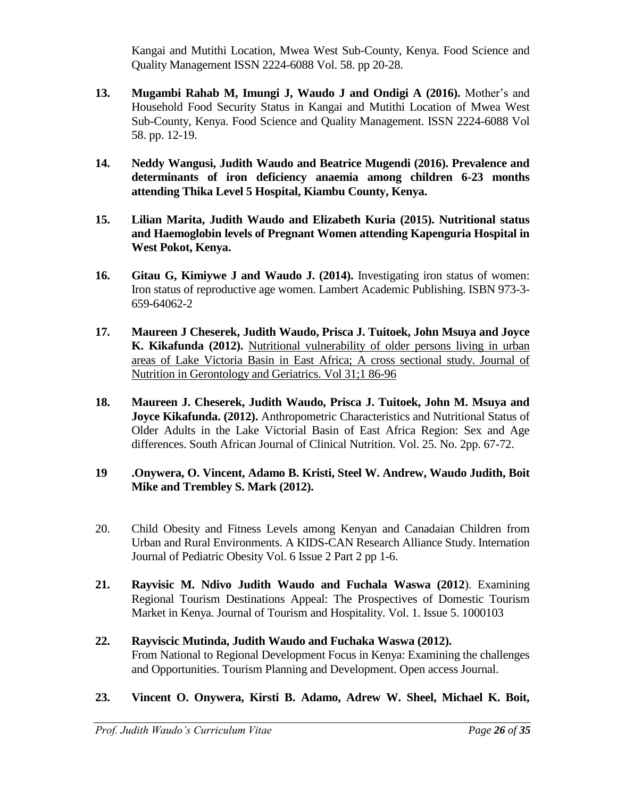Kangai and Mutithi Location, Mwea West Sub-County, Kenya. Food Science and Quality Management ISSN 2224-6088 Vol. 58. pp 20-28.

- **13. Mugambi Rahab M, Imungi J, Waudo J and Ondigi A (2016).** Mother's and Household Food Security Status in Kangai and Mutithi Location of Mwea West Sub-County, Kenya. Food Science and Quality Management. ISSN 2224-6088 Vol 58. pp. 12-19.
- **14. Neddy Wangusi, Judith Waudo and Beatrice Mugendi (2016). Prevalence and determinants of iron deficiency anaemia among children 6-23 months attending Thika Level 5 Hospital, Kiambu County, Kenya.**
- **15. Lilian Marita, Judith Waudo and Elizabeth Kuria (2015). Nutritional status and Haemoglobin levels of Pregnant Women attending Kapenguria Hospital in West Pokot, Kenya.**
- **16. Gitau G, Kimiywe J and Waudo J. (2014).** Investigating iron status of women: Iron status of reproductive age women. Lambert Academic Publishing. ISBN 973-3- 659-64062-2
- **17. Maureen J Cheserek, Judith Waudo, Prisca J. Tuitoek, John Msuya and Joyce K. Kikafunda (2012).** Nutritional vulnerability of older persons living in urban areas of Lake Victoria Basin in East Africa; A cross sectional study. Journal of Nutrition in Gerontology and Geriatrics. Vol 31;1 86-96
- **18. Maureen J. Cheserek, Judith Waudo, Prisca J. Tuitoek, John M. Msuya and Joyce Kikafunda. (2012).** Anthropometric Characteristics and Nutritional Status of Older Adults in the Lake Victorial Basin of East Africa Region: Sex and Age differences. South African Journal of Clinical Nutrition. Vol. 25. No. 2pp. 67-72.

# **19 .Onywera, O. Vincent, Adamo B. Kristi, Steel W. Andrew, Waudo Judith, Boit Mike and Trembley S. Mark (2012).**

- 20. Child Obesity and Fitness Levels among Kenyan and Canadaian Children from Urban and Rural Environments. A KIDS-CAN Research Alliance Study. Internation Journal of Pediatric Obesity Vol. 6 Issue 2 Part 2 pp 1-6.
- **21. Rayvisic M. Ndivo Judith Waudo and Fuchala Waswa (2012**). Examining Regional Tourism Destinations Appeal: The Prospectives of Domestic Tourism Market in Kenya. Journal of Tourism and Hospitality. Vol. 1. Issue 5. 1000103

# **22. Rayviscic Mutinda, Judith Waudo and Fuchaka Waswa (2012).**  From National to Regional Development Focus in Kenya: Examining the challenges and Opportunities. Tourism Planning and Development. Open access Journal.

**23. Vincent O. Onywera, Kirsti B. Adamo, Adrew W. Sheel, Michael K. Boit,**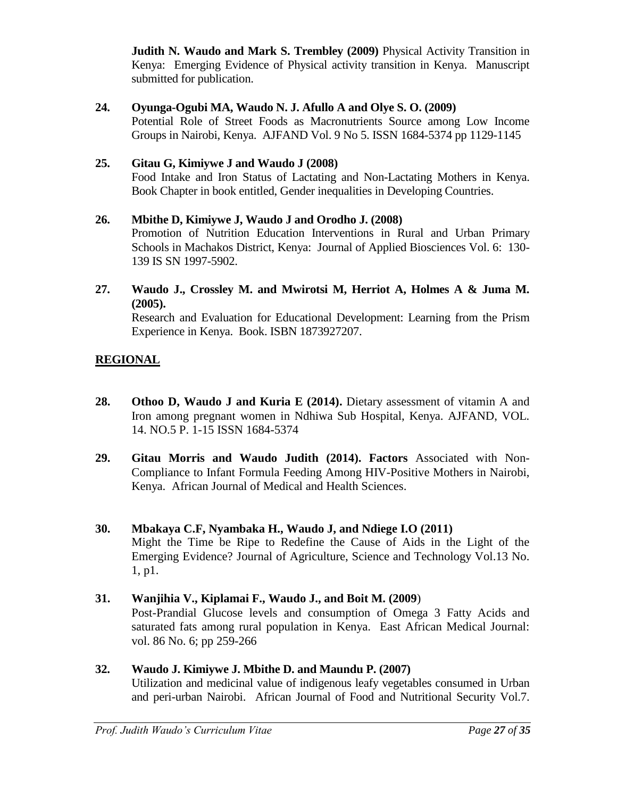**Judith N. Waudo and Mark S. Trembley (2009)** Physical Activity Transition in Kenya: Emerging Evidence of Physical activity transition in Kenya. Manuscript submitted for publication.

# **24. Oyunga-Ogubi MA, Waudo N. J. Afullo A and Olye S. O. (2009)**

Potential Role of Street Foods as Macronutrients Source among Low Income Groups in Nairobi, Kenya. AJFAND Vol. 9 No 5. ISSN 1684-5374 pp 1129-1145

# **25. Gitau G, Kimiywe J and Waudo J (2008)**

Food Intake and Iron Status of Lactating and Non-Lactating Mothers in Kenya. Book Chapter in book entitled, Gender inequalities in Developing Countries.

# **26. Mbithe D, Kimiywe J, Waudo J and Orodho J. (2008)**

Promotion of Nutrition Education Interventions in Rural and Urban Primary Schools in Machakos District, Kenya: Journal of Applied Biosciences Vol. 6: 130- 139 IS SN 1997-5902.

### **27. Waudo J., Crossley M. and Mwirotsi M, Herriot A, Holmes A & Juma M. (2005).**

Research and Evaluation for Educational Development: Learning from the Prism Experience in Kenya. Book. ISBN 1873927207.

# **REGIONAL**

- **28. Othoo D, Waudo J and Kuria E (2014).** Dietary assessment of vitamin A and Iron among pregnant women in Ndhiwa Sub Hospital, Kenya. AJFAND, VOL. 14. NO.5 P. 1-15 ISSN 1684-5374
- **29. Gitau Morris and Waudo Judith (2014). Factors** Associated with Non-Compliance to Infant Formula Feeding Among HIV-Positive Mothers in Nairobi, Kenya. African Journal of Medical and Health Sciences.

# **30. Mbakaya C.F, Nyambaka H., Waudo J, and Ndiege I.O (2011)** Might the Time be Ripe to Redefine the Cause of Aids in the Light of the Emerging Evidence? Journal of Agriculture, Science and Technology Vol.13 No. 1, p1.

# **31. Wanjihia V., Kiplamai F., Waudo J., and Boit M. (2009**)

Post-Prandial Glucose levels and consumption of Omega 3 Fatty Acids and saturated fats among rural population in Kenya. East African Medical Journal: vol. 86 No. 6; pp 259-266

#### **32. Waudo J. Kimiywe J. Mbithe D. and Maundu P. (2007)** Utilization and medicinal value of indigenous leafy vegetables consumed in Urban and peri-urban Nairobi. African Journal of Food and Nutritional Security Vol.7.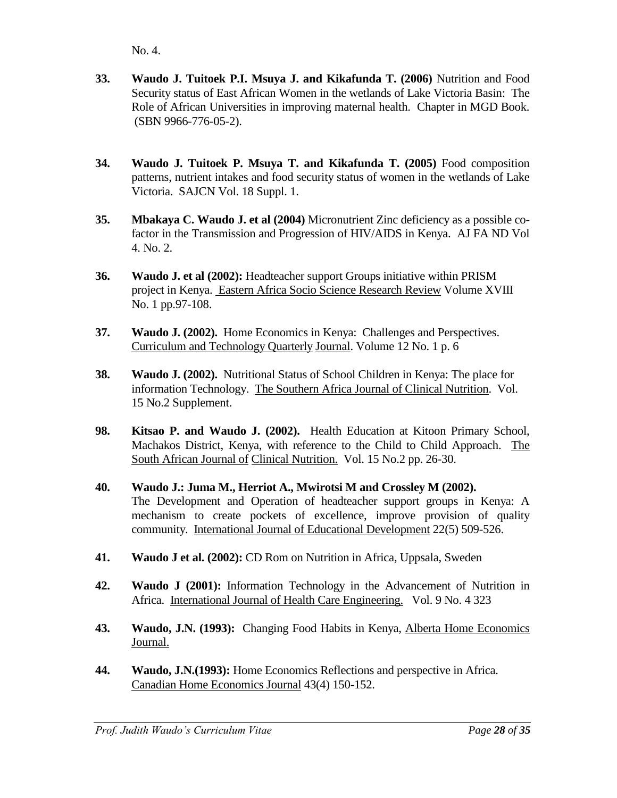No. 4.

- **33. Waudo J. Tuitoek P.I. Msuya J. and Kikafunda T. (2006)** Nutrition and Food Security status of East African Women in the wetlands of Lake Victoria Basin: The Role of African Universities in improving maternal health. Chapter in MGD Book. (SBN 9966-776-05-2).
- **34. Waudo J. Tuitoek P. Msuya T. and Kikafunda T. (2005)** Food composition patterns, nutrient intakes and food security status of women in the wetlands of Lake Victoria. SAJCN Vol. 18 Suppl. 1.
- **35. Mbakaya C. Waudo J. et al (2004)** Micronutrient Zinc deficiency as a possible cofactor in the Transmission and Progression of HIV/AIDS in Kenya. AJ FA ND Vol 4. No. 2.
- **36. Waudo J. et al (2002):** Headteacher support Groups initiative within PRISM project in Kenya. Eastern Africa Socio Science Research Review Volume XVIII No. 1 pp.97-108.
- **37. Waudo J. (2002).** Home Economics in Kenya: Challenges and Perspectives. Curriculum and Technology Quarterly Journal. Volume 12 No. 1 p. 6
- **38. Waudo J. (2002).** Nutritional Status of School Children in Kenya: The place for information Technology. The Southern Africa Journal of Clinical Nutrition. Vol. 15 No.2 Supplement.
- **98. Kitsao P. and Waudo J. (2002).** Health Education at Kitoon Primary School, Machakos District, Kenya, with reference to the Child to Child Approach. The South African Journal of Clinical Nutrition. Vol. 15 No.2 pp. 26-30.
- **40. Waudo J.: Juma M., Herriot A., Mwirotsi M and Crossley M (2002).**  The Development and Operation of headteacher support groups in Kenya: A mechanism to create pockets of excellence, improve provision of quality community. International Journal of Educational Development 22(5) 509-526.
- **41. Waudo J et al. (2002):** CD Rom on Nutrition in Africa, Uppsala, Sweden
- **42. Waudo J (2001):** Information Technology in the Advancement of Nutrition in Africa. International Journal of Health Care Engineering. Vol. 9 No. 4 323
- **43. Waudo, J.N. (1993):** Changing Food Habits in Kenya, Alberta Home Economics Journal.
- **44. Waudo, J.N.(1993):** Home Economics Reflections and perspective in Africa. Canadian Home Economics Journal 43(4) 150-152.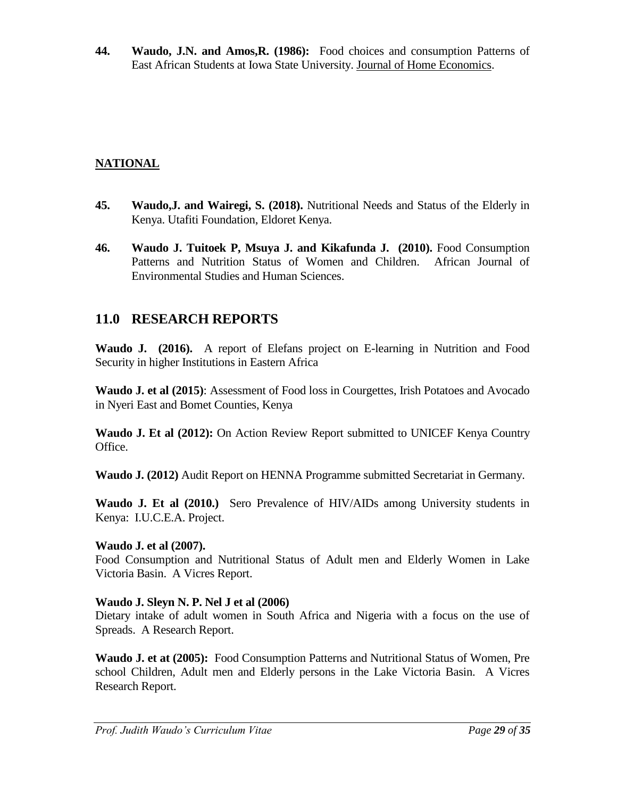**44. Waudo, J.N. and Amos,R. (1986):** Food choices and consumption Patterns of East African Students at Iowa State University. Journal of Home Economics.

# **NATIONAL**

- **45. Waudo,J. and Wairegi, S. (2018).** Nutritional Needs and Status of the Elderly in Kenya. Utafiti Foundation, Eldoret Kenya.
- **46. Waudo J. Tuitoek P, Msuya J. and Kikafunda J. (2010).** Food Consumption Patterns and Nutrition Status of Women and Children. African Journal of Environmental Studies and Human Sciences.

# **11.0 RESEARCH REPORTS**

**Waudo J. (2016).** A report of Elefans project on E-learning in Nutrition and Food Security in higher Institutions in Eastern Africa

**Waudo J. et al (2015)**: Assessment of Food loss in Courgettes, Irish Potatoes and Avocado in Nyeri East and Bomet Counties, Kenya

**Waudo J. Et al (2012):** On Action Review Report submitted to UNICEF Kenya Country Office.

**Waudo J. (2012)** Audit Report on HENNA Programme submitted Secretariat in Germany.

**Waudo J. Et al (2010.)** Sero Prevalence of HIV/AIDs among University students in Kenya: I.U.C.E.A. Project.

# **Waudo J. et al (2007).**

Food Consumption and Nutritional Status of Adult men and Elderly Women in Lake Victoria Basin. A Vicres Report.

# **Waudo J. Sleyn N. P. Nel J et al (2006)**

Dietary intake of adult women in South Africa and Nigeria with a focus on the use of Spreads. A Research Report.

**Waudo J. et at (2005):** Food Consumption Patterns and Nutritional Status of Women, Pre school Children, Adult men and Elderly persons in the Lake Victoria Basin. A Vicres Research Report.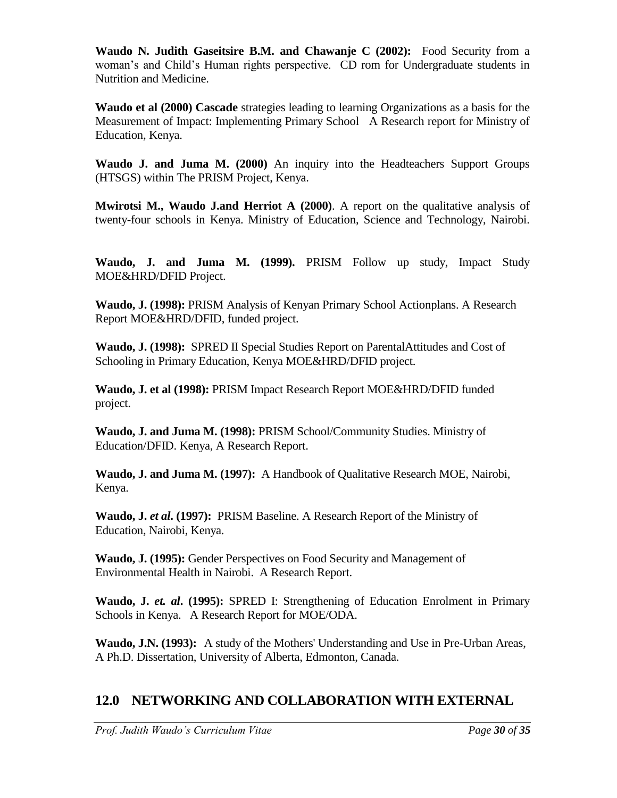**Waudo N. Judith Gaseitsire B.M. and Chawanje C (2002):** Food Security from a woman's and Child's Human rights perspective. CD rom for Undergraduate students in Nutrition and Medicine.

**Waudo et al (2000) Cascade** strategies leading to learning Organizations as a basis for the Measurement of Impact: Implementing Primary School A Research report for Ministry of Education, Kenya.

**Waudo J. and Juma M. (2000)** An inquiry into the Headteachers Support Groups (HTSGS) within The PRISM Project, Kenya.

**Mwirotsi M., Waudo J.and Herriot A (2000)**. A report on the qualitative analysis of twenty-four schools in Kenya. Ministry of Education, Science and Technology, Nairobi.

**Waudo, J. and Juma M. (1999).** PRISM Follow up study, Impact Study MOE&HRD/DFID Project.

**Waudo, J. (1998):** PRISM Analysis of Kenyan Primary School Actionplans. A Research Report MOE&HRD/DFID, funded project.

**Waudo, J. (1998):** SPRED II Special Studies Report on ParentalAttitudes and Cost of Schooling in Primary Education, Kenya MOE&HRD/DFID project.

**Waudo, J. et al (1998):** PRISM Impact Research Report MOE&HRD/DFID funded project.

**Waudo, J. and Juma M. (1998):** PRISM School/Community Studies. Ministry of Education/DFID. Kenya, A Research Report.

**Waudo, J. and Juma M. (1997):** A Handbook of Qualitative Research MOE, Nairobi, Kenya.

**Waudo, J.** *et al***. (1997):** PRISM Baseline. A Research Report of the Ministry of Education, Nairobi, Kenya.

**Waudo, J. (1995):** Gender Perspectives on Food Security and Management of Environmental Health in Nairobi. A Research Report.

**Waudo, J.** *et. al***. (1995):** SPRED I: Strengthening of Education Enrolment in Primary Schools in Kenya. A Research Report for MOE/ODA.

**Waudo, J.N. (1993):** A study of the Mothers' Understanding and Use in Pre-Urban Areas, A Ph.D. Dissertation, University of Alberta, Edmonton, Canada.

# **12.0 NETWORKING AND COLLABORATION WITH EXTERNAL**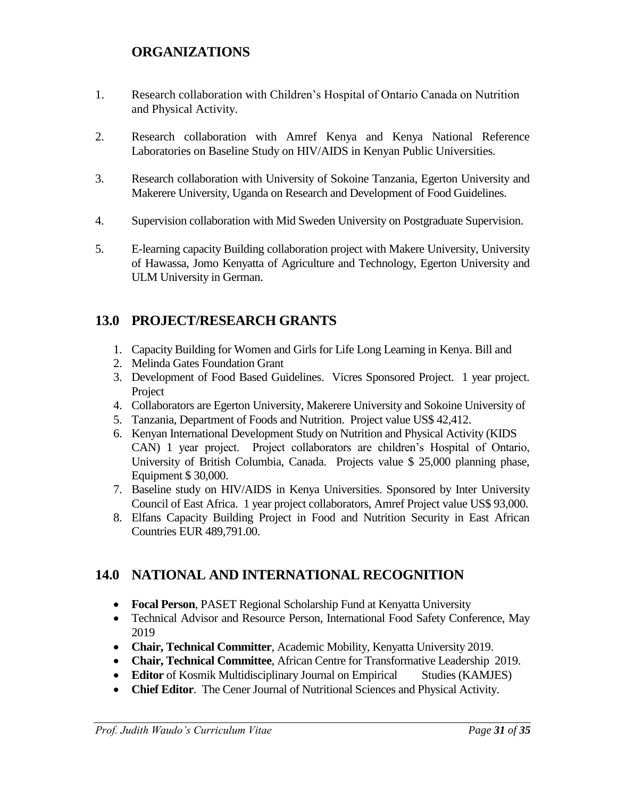# **ORGANIZATIONS**

- 1. Research collaboration with Children's Hospital of Ontario Canada on Nutrition and Physical Activity.
- 2. Research collaboration with Amref Kenya and Kenya National Reference Laboratories on Baseline Study on HIV/AIDS in Kenyan Public Universities.
- 3. Research collaboration with University of Sokoine Tanzania, Egerton University and Makerere University, Uganda on Research and Development of Food Guidelines.
- 4. Supervision collaboration with Mid Sweden University on Postgraduate Supervision.
- 5. E-learning capacity Building collaboration project with Makere University, University of Hawassa, Jomo Kenyatta of Agriculture and Technology, Egerton University and ULM University in German.

# **13.0 PROJECT/RESEARCH GRANTS**

- 1. Capacity Building for Women and Girls for Life Long Learning in Kenya. Bill and
- 2. Melinda Gates Foundation Grant
- 3. Development of Food Based Guidelines. Vicres Sponsored Project. 1 year project. Project
- 4. Collaborators are Egerton University, Makerere University and Sokoine University of
- 5. Tanzania, Department of Foods and Nutrition. Project value US\$ 42,412.
- 6. Kenyan International Development Study on Nutrition and Physical Activity (KIDS CAN) 1 year project. Project collaborators are children's Hospital of Ontario, University of British Columbia, Canada. Projects value \$ 25,000 planning phase, Equipment \$ 30,000.
- 7. Baseline study on HIV/AIDS in Kenya Universities. Sponsored by Inter University Council of East Africa. 1 year project collaborators, Amref Project value US\$ 93,000.
- 8. Elfans Capacity Building Project in Food and Nutrition Security in East African Countries EUR 489,791.00.

# **14.0 NATIONAL AND INTERNATIONAL RECOGNITION**

- **Focal Person**, PASET Regional Scholarship Fund at Kenyatta University
- Technical Advisor and Resource Person, International Food Safety Conference, May 2019
- **Chair, Technical Committer**, Academic Mobility, Kenyatta University 2019.
- **Chair, Technical Committee**, African Centre for Transformative Leadership 2019.
- **Editor** of Kosmik Multidisciplinary Journal on Empirical Studies (KAMJES)
- **Chief Editor**. The Cener Journal of Nutritional Sciences and Physical Activity.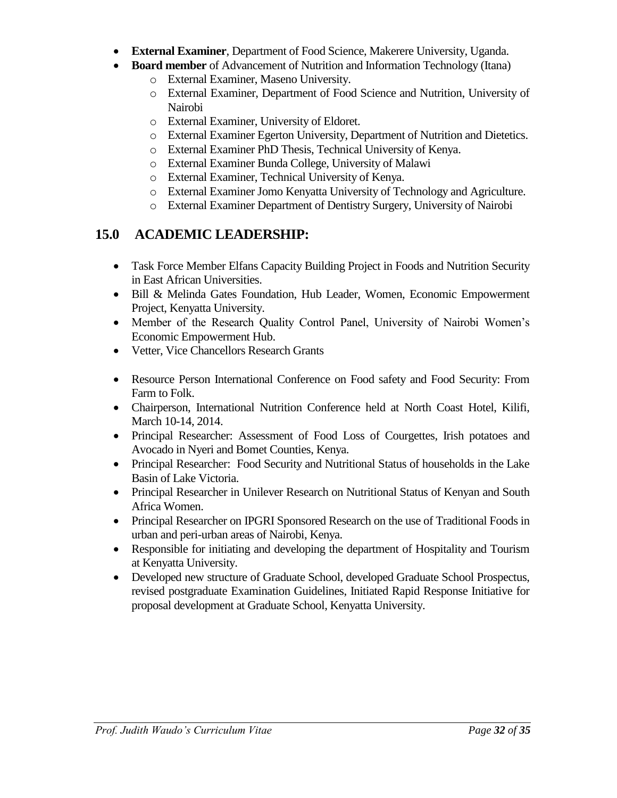- **External Examiner**, Department of Food Science, Makerere University, Uganda.
- **Board member** of Advancement of Nutrition and Information Technology (Itana)
	- o External Examiner, Maseno University.
	- o External Examiner, Department of Food Science and Nutrition, University of Nairobi
	- o External Examiner, University of Eldoret.
	- o External Examiner Egerton University, Department of Nutrition and Dietetics.
	- o External Examiner PhD Thesis, Technical University of Kenya.
	- o External Examiner Bunda College, University of Malawi
	- o External Examiner, Technical University of Kenya.
	- o External Examiner Jomo Kenyatta University of Technology and Agriculture.
	- o External Examiner Department of Dentistry Surgery, University of Nairobi

# **15.0 ACADEMIC LEADERSHIP:**

- Task Force Member Elfans Capacity Building Project in Foods and Nutrition Security in East African Universities.
- Bill & Melinda Gates Foundation, Hub Leader, Women, Economic Empowerment Project, Kenyatta University.
- Member of the Research Quality Control Panel, University of Nairobi Women's Economic Empowerment Hub.
- Vetter, Vice Chancellors Research Grants
- Resource Person International Conference on Food safety and Food Security: From Farm to Folk.
- Chairperson, International Nutrition Conference held at North Coast Hotel, Kilifi, March 10-14, 2014.
- Principal Researcher: Assessment of Food Loss of Courgettes, Irish potatoes and Avocado in Nyeri and Bomet Counties, Kenya.
- Principal Researcher: Food Security and Nutritional Status of households in the Lake Basin of Lake Victoria.
- Principal Researcher in Unilever Research on Nutritional Status of Kenyan and South Africa Women.
- Principal Researcher on IPGRI Sponsored Research on the use of Traditional Foods in urban and peri-urban areas of Nairobi, Kenya.
- Responsible for initiating and developing the department of Hospitality and Tourism at Kenyatta University.
- Developed new structure of Graduate School, developed Graduate School Prospectus, revised postgraduate Examination Guidelines, Initiated Rapid Response Initiative for proposal development at Graduate School, Kenyatta University.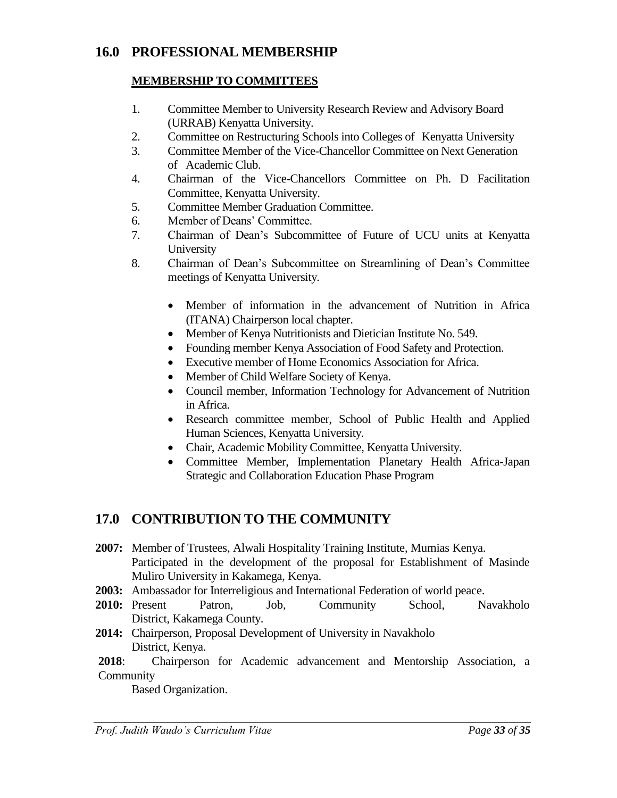# **16.0 PROFESSIONAL MEMBERSHIP**

# **MEMBERSHIP TO COMMITTEES**

- 1. Committee Member to University Research Review and Advisory Board (URRAB) Kenyatta University.
- 2. Committee on Restructuring Schools into Colleges of Kenyatta University
- 3. Committee Member of the Vice-Chancellor Committee on Next Generation of Academic Club.
- 4. Chairman of the Vice-Chancellors Committee on Ph. D Facilitation Committee, Kenyatta University.
- 5. Committee Member Graduation Committee.
- 6. Member of Deans' Committee.
- 7. Chairman of Dean's Subcommittee of Future of UCU units at Kenyatta University
- 8. Chairman of Dean's Subcommittee on Streamlining of Dean's Committee meetings of Kenyatta University.
	- Member of information in the advancement of Nutrition in Africa (ITANA) Chairperson local chapter.
	- Member of Kenya Nutritionists and Dietician Institute No. 549.
	- Founding member Kenya Association of Food Safety and Protection.
	- Executive member of Home Economics Association for Africa.
	- Member of Child Welfare Society of Kenya.
	- Council member, Information Technology for Advancement of Nutrition in Africa.
	- Research committee member, School of Public Health and Applied Human Sciences, Kenyatta University.
	- Chair, Academic Mobility Committee, Kenyatta University.
	- Committee Member, Implementation Planetary Health Africa-Japan Strategic and Collaboration Education Phase Program

# **17.0 CONTRIBUTION TO THE COMMUNITY**

- **2007:** Member of Trustees, Alwali Hospitality Training Institute, Mumias Kenya. Participated in the development of the proposal for Establishment of Masinde Muliro University in Kakamega, Kenya.
- **2003:** Ambassador for Interreligious and International Federation of world peace.
- **2010:** Present Patron, Job, Community School, Navakholo District, Kakamega County.
- **2014:** Chairperson, Proposal Development of University in Navakholo District, Kenya.

**2018**: Chairperson for Academic advancement and Mentorship Association, a Community

Based Organization.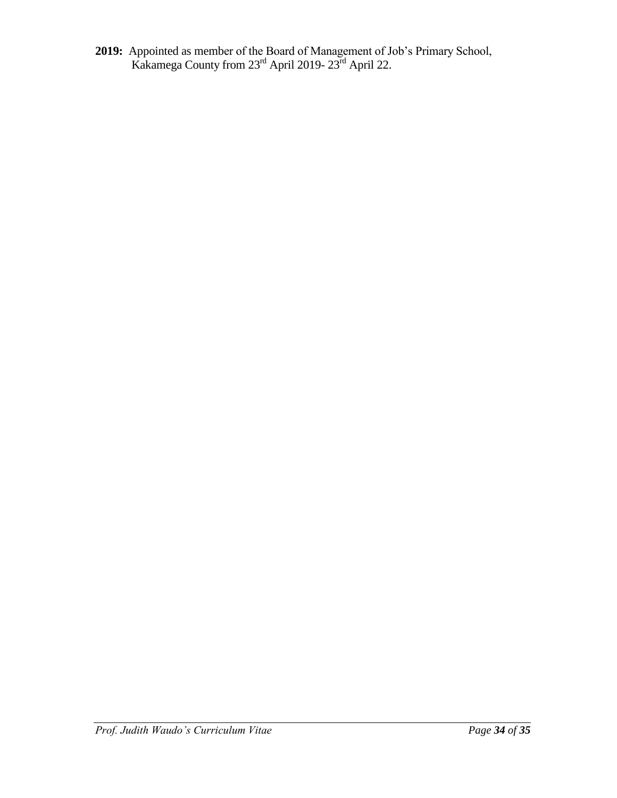**2019:** Appointed as member of the Board of Management of Job's Primary School, Kakamega County from 23<sup>rd</sup> April 2019-23<sup>rd</sup> April 22.